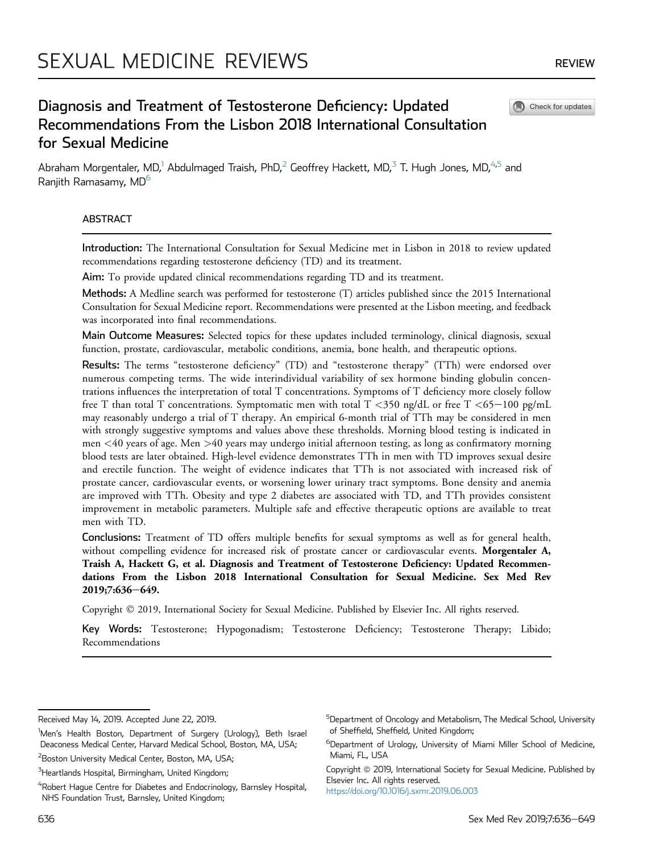Check for updates

# Diagnosis and Treatment of Testosterone Deficiency: Updated Recommendations From the Lisbon 2018 International Consultation for Sexual Medicine

Abraham Morgentaler, MD,<sup>1</sup> Abdulmaged Traish, PhD,<sup>2</sup> Geoffrey Hackett, MD,<sup>3</sup> T. Hugh Jones, MD,<sup>4,5</sup> and Ranjith Ramasamy, MD<sup>6</sup>

# ABSTRACT

Introduction: The International Consultation for Sexual Medicine met in Lisbon in 2018 to review updated recommendations regarding testosterone deficiency (TD) and its treatment.

Aim: To provide updated clinical recommendations regarding TD and its treatment.

Methods: A Medline search was performed for testosterone (T) articles published since the 2015 International Consultation for Sexual Medicine report. Recommendations were presented at the Lisbon meeting, and feedback was incorporated into final recommendations.

Main Outcome Measures: Selected topics for these updates included terminology, clinical diagnosis, sexual function, prostate, cardiovascular, metabolic conditions, anemia, bone health, and therapeutic options.

Results: The terms "testosterone deficiency" (TD) and "testosterone therapy" (TTh) were endorsed over numerous competing terms. The wide interindividual variability of sex hormone binding globulin concentrations influences the interpretation of total T concentrations. Symptoms of T deficiency more closely follow free T than total T concentrations. Symptomatic men with total T <350 ng/dL or free T <65-100 pg/mL may reasonably undergo a trial of T therapy. An empirical 6-month trial of TTh may be considered in men with strongly suggestive symptoms and values above these thresholds. Morning blood testing is indicated in men <40 years of age. Men >40 years may undergo initial afternoon testing, as long as confirmatory morning blood tests are later obtained. High-level evidence demonstrates TTh in men with TD improves sexual desire and erectile function. The weight of evidence indicates that TTh is not associated with increased risk of prostate cancer, cardiovascular events, or worsening lower urinary tract symptoms. Bone density and anemia are improved with TTh. Obesity and type 2 diabetes are associated with TD, and TTh provides consistent improvement in metabolic parameters. Multiple safe and effective therapeutic options are available to treat men with TD.

Conclusions: Treatment of TD offers multiple benefits for sexual symptoms as well as for general health, without compelling evidence for increased risk of prostate cancer or cardiovascular events. Morgentaler A, Traish A, Hackett G, et al. Diagnosis and Treatment of Testosterone Deficiency: Updated Recommendations From the Lisbon 2018 International Consultation for Sexual Medicine. Sex Med Rev 2019;7:636-649.

Copyright 2019, International Society for Sexual Medicine. Published by Elsevier Inc. All rights reserved.

Key Words: Testosterone; Hypogonadism; Testosterone Deficiency; Testosterone Therapy; Libido; Recommendations

Copyright © 2019, International Society for Sexual Medicine. Published by Elsevier Inc. All rights reserved. <https://doi.org/10.1016/j.sxmr.2019.06.003>

Received May 14, 2019. Accepted June 22, 2019.

<sup>&</sup>lt;sup>1</sup>Men's Health Boston, Department of Surgery (Urology), Beth Israel Deaconess Medical Center, Harvard Medical School, Boston, MA, USA;

<sup>&</sup>lt;sup>2</sup>Boston University Medical Center, Boston, MA, USA;

<sup>&</sup>lt;sup>3</sup>Heartlands Hospital, Birmingham, United Kingdom;

<sup>&</sup>lt;sup>4</sup>Robert Hague Centre for Diabetes and Endocrinology, Barnsley Hospital, NHS Foundation Trust, Barnsley, United Kingdom;

<sup>&</sup>lt;sup>5</sup>Department of Oncology and Metabolism, The Medical School, University of Sheffield, Sheffield, United Kingdom;

<sup>&</sup>lt;sup>6</sup>Department of Urology, University of Miami Miller School of Medicine, Miami, FL, USA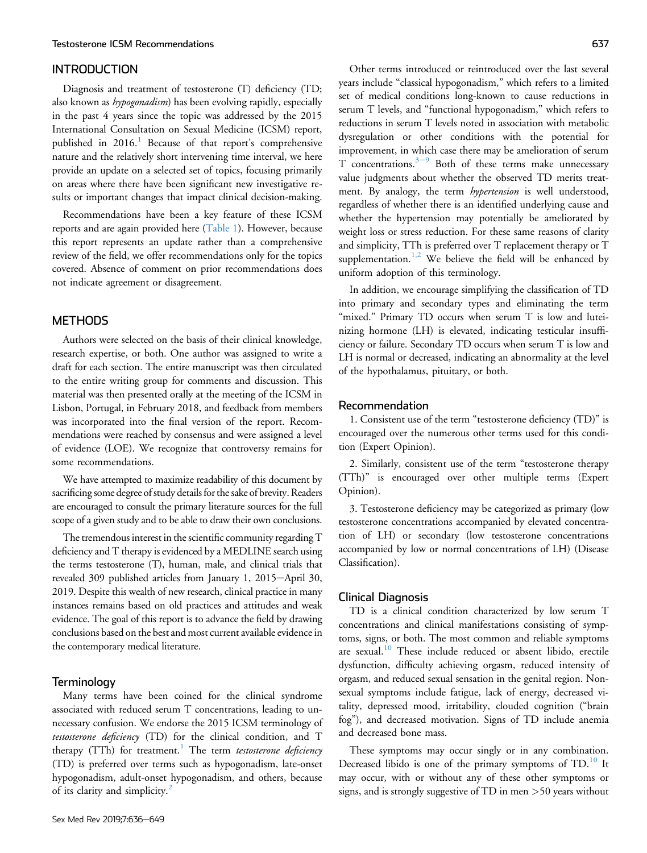### INTRODUCTION

Diagnosis and treatment of testosterone (T) deficiency (TD; also known as *hypogonadism*) has been evolving rapidly, especially in the past 4 years since the topic was addressed by the 2015 International Consultation on Sexual Medicine (ICSM) report, published in 20[1](#page-9-0)6.<sup>1</sup> Because of that report's comprehensive nature and the relatively short intervening time interval, we here provide an update on a selected set of topics, focusing primarily on areas where there have been significant new investigative results or important changes that impact clinical decision-making.

Recommendations have been a key feature of these ICSM reports and are again provided here ([Table 1](#page-2-0)). However, because this report represents an update rather than a comprehensive review of the field, we offer recommendations only for the topics covered. Absence of comment on prior recommendations does not indicate agreement or disagreement.

### **METHODS**

Authors were selected on the basis of their clinical knowledge, research expertise, or both. One author was assigned to write a draft for each section. The entire manuscript was then circulated to the entire writing group for comments and discussion. This material was then presented orally at the meeting of the ICSM in Lisbon, Portugal, in February 2018, and feedback from members was incorporated into the final version of the report. Recommendations were reached by consensus and were assigned a level of evidence (LOE). We recognize that controversy remains for some recommendations.

We have attempted to maximize readability of this document by sacrificing some degree of study details for the sake of brevity. Readers are encouraged to consult the primary literature sources for the full scope of a given study and to be able to draw their own conclusions.

The tremendous interest in the scientific community regarding T deficiency and T therapy is evidenced by a MEDLINE search using the terms testosterone (T), human, male, and clinical trials that revealed 309 published articles from January 1, 2015-April 30, 2019. Despite this wealth of new research, clinical practice in many instances remains based on old practices and attitudes and weak evidence. The goal of this report is to advance the field by drawing conclusions based on the best and most current available evidence in the contemporary medical literature.

### **Terminology**

Many terms have been coined for the clinical syndrome associated with reduced serum T concentrations, leading to unnecessary confusion. We endorse the 2015 ICSM terminology of testosterone deficiency (TD) for the clinical condition, and T therapy (TTh) for treatment.<sup>[1](#page-9-0)</sup> The term testosterone deficiency (TD) is preferred over terms such as hypogonadism, late-onset hypogonadism, adult-onset hypogonadism, and others, because of its clarity and simplicity.<sup>[2](#page-9-0)</sup>

Other terms introduced or reintroduced over the last several years include "classical hypogonadism," which refers to a limited set of medical conditions long-known to cause reductions in serum T levels, and "functional hypogonadism," which refers to reductions in serum T levels noted in association with metabolic dysregulation or other conditions with the potential for improvement, in which case there may be amelioration of serum T concentrations. $3\frac{3}{9}$  $3\frac{3}{9}$  $3\frac{3}{9}$  $3\frac{3}{9}$  Both of these terms make unnecessary value judgments about whether the observed TD merits treatment. By analogy, the term *hypertension* is well understood, regardless of whether there is an identified underlying cause and whether the hypertension may potentially be ameliorated by weight loss or stress reduction. For these same reasons of clarity and simplicity, TTh is preferred over T replacement therapy or T supplementation.<sup>[1,2](#page-9-0)</sup> We believe the field will be enhanced by uniform adoption of this terminology.

In addition, we encourage simplifying the classification of TD into primary and secondary types and eliminating the term "mixed." Primary TD occurs when serum T is low and luteinizing hormone (LH) is elevated, indicating testicular insufficiency or failure. Secondary TD occurs when serum T is low and LH is normal or decreased, indicating an abnormality at the level of the hypothalamus, pituitary, or both.

#### Recommendation

1. Consistent use of the term "testosterone deficiency (TD)" is encouraged over the numerous other terms used for this condition (Expert Opinion).

2. Similarly, consistent use of the term "testosterone therapy (TTh)" is encouraged over other multiple terms (Expert Opinion).

3. Testosterone deficiency may be categorized as primary (low testosterone concentrations accompanied by elevated concentration of LH) or secondary (low testosterone concentrations accompanied by low or normal concentrations of LH) (Disease Classification).

### Clinical Diagnosis

TD is a clinical condition characterized by low serum T concentrations and clinical manifestations consisting of symptoms, signs, or both. The most common and reliable symptoms are sexual.<sup>[10](#page-9-0)</sup> These include reduced or absent libido, erectile dysfunction, difficulty achieving orgasm, reduced intensity of orgasm, and reduced sexual sensation in the genital region. Nonsexual symptoms include fatigue, lack of energy, decreased vitality, depressed mood, irritability, clouded cognition ("brain fog"), and decreased motivation. Signs of TD include anemia and decreased bone mass.

These symptoms may occur singly or in any combination. Decreased libido is one of the primary symptoms of TD.<sup>[10](#page-9-0)</sup> It may occur, with or without any of these other symptoms or signs, and is strongly suggestive of TD in men >50 years without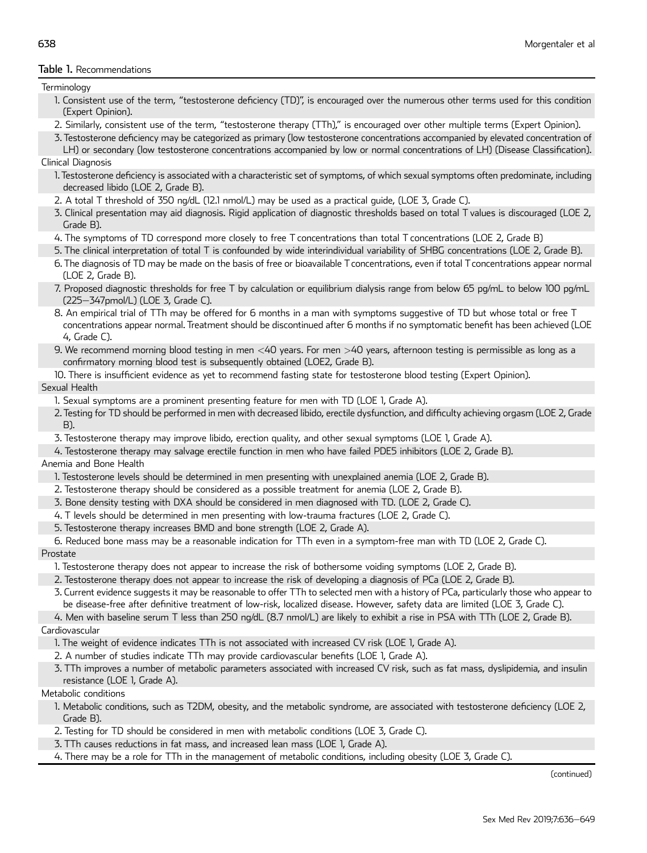## <span id="page-2-0"></span>Table 1. Recommendations

- 1. Consistent use of the term, "testosterone deficiency (TD)", is encouraged over the numerous other terms used for this condition (Expert Opinion).
- 2. Similarly, consistent use of the term, "testosterone therapy (TTh)," is encouraged over other multiple terms (Expert Opinion).
- 3. Testosterone deficiency may be categorized as primary (low testosterone concentrations accompanied by elevated concentration of LH) or secondary (low testosterone concentrations accompanied by low or normal concentrations of LH) (Disease Classification).

Clinical Diagnosis

- 1. Testosterone deficiency is associated with a characteristic set of symptoms, of which sexual symptoms often predominate, including decreased libido (LOE 2, Grade B).
- 2. A total T threshold of 350 ng/dL (12.1 nmol/L) may be used as a practical guide, (LOE 3, Grade C).
- 3. Clinical presentation may aid diagnosis. Rigid application of diagnostic thresholds based on total T values is discouraged (LOE 2, Grade B).
- 4. The symptoms of TD correspond more closely to free T concentrations than total T concentrations (LOE 2, Grade B)
- 5. The clinical interpretation of total T is confounded by wide interindividual variability of SHBG concentrations (LOE 2, Grade B).
- 6. The diagnosis of TD may be made on the basis of free or bioavailable T concentrations, even if total T concentrations appear normal (LOE 2, Grade B).
- 7. Proposed diagnostic thresholds for free T by calculation or equilibrium dialysis range from below 65 pg/mL to below 100 pg/mL (225-347pmol/L) (LOE 3, Grade C).
- 8. An empirical trial of TTh may be offered for 6 months in a man with symptoms suggestive of TD but whose total or free T concentrations appear normal. Treatment should be discontinued after 6 months if no symptomatic benefit has been achieved (LOE 4, Grade C).
- 9. We recommend morning blood testing in men <40 years. For men >40 years, afternoon testing is permissible as long as a confirmatory morning blood test is subsequently obtained (LOE2, Grade B).
- 10. There is insufficient evidence as yet to recommend fasting state for testosterone blood testing (Expert Opinion).

Sexual Health

- 1. Sexual symptoms are a prominent presenting feature for men with TD (LOE 1, Grade A).
- 2. Testing for TD should be performed in men with decreased libido, erectile dysfunction, and difficulty achieving orgasm (LOE 2, Grade B).
- 3. Testosterone therapy may improve libido, erection quality, and other sexual symptoms (LOE 1, Grade A).
- 4. Testosterone therapy may salvage erectile function in men who have failed PDE5 inhibitors (LOE 2, Grade B).

Anemia and Bone Health

- 1. Testosterone levels should be determined in men presenting with unexplained anemia (LOE 2, Grade B).
- 2. Testosterone therapy should be considered as a possible treatment for anemia (LOE 2, Grade B).
- 3. Bone density testing with DXA should be considered in men diagnosed with TD. (LOE 2, Grade C).
- 4. T levels should be determined in men presenting with low-trauma fractures (LOE 2, Grade C).
- 5. Testosterone therapy increases BMD and bone strength (LOE 2, Grade A).

6. Reduced bone mass may be a reasonable indication for TTh even in a symptom-free man with TD (LOE 2, Grade C). Prostate

- 1. Testosterone therapy does not appear to increase the risk of bothersome voiding symptoms (LOE 2, Grade B).
- 2. Testosterone therapy does not appear to increase the risk of developing a diagnosis of PCa (LOE 2, Grade B).
- 3. Current evidence suggests it may be reasonable to offer TTh to selected men with a history of PCa, particularly those who appear to be disease-free after definitive treatment of low-risk, localized disease. However, safety data are limited (LOE 3, Grade C).

4. Men with baseline serum T less than 250 ng/dL (8.7 nmol/L) are likely to exhibit a rise in PSA with TTh (LOE 2, Grade B). Cardiovascular

1. The weight of evidence indicates TTh is not associated with increased CV risk (LOE 1, Grade A).

- 2. A number of studies indicate TTh may provide cardiovascular benefits (LOE 1, Grade A).
- 3. TTh improves a number of metabolic parameters associated with increased CV risk, such as fat mass, dyslipidemia, and insulin resistance (LOE 1, Grade A).

Metabolic conditions

1. Metabolic conditions, such as T2DM, obesity, and the metabolic syndrome, are associated with testosterone deficiency (LOE 2, Grade B).

2. Testing for TD should be considered in men with metabolic conditions (LOE 3, Grade C).

- 3. TTh causes reductions in fat mass, and increased lean mass (LOE 1, Grade A).
- 4. There may be a role for TTh in the management of metabolic conditions, including obesity (LOE 3, Grade C).

(continued)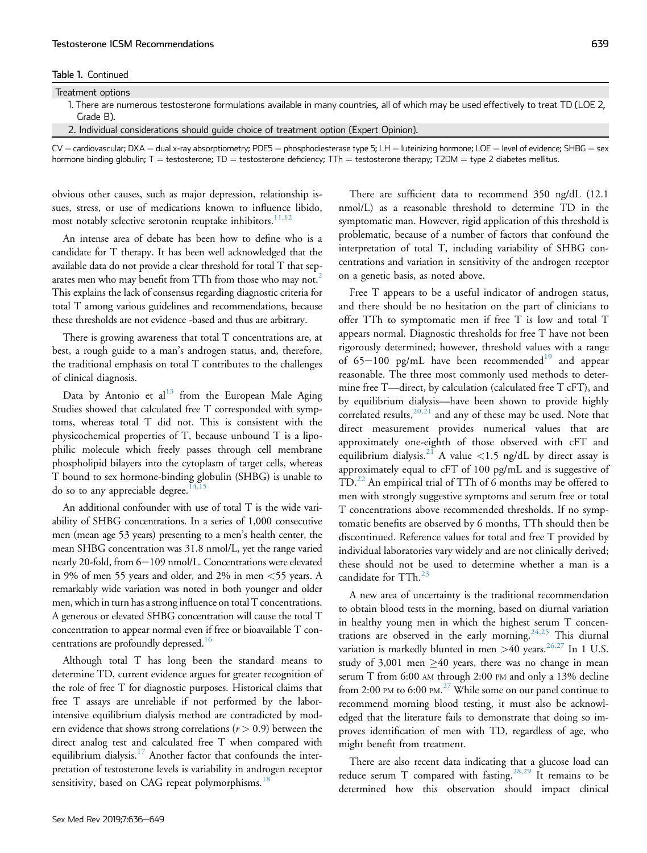#### Testosterone ICSM Recommendations 639

Table 1. Continued

| Treatment options |  |
|-------------------|--|
|                   |  |

1. There are numerous testosterone formulations available in many countries, all of which may be used effectively to treat TD (LOE 2, Grade B).

2. Individual considerations should guide choice of treatment option (Expert Opinion).

 $CV =$  cardiovascular; DXA = dual x-ray absorptiometry; PDE5 = phosphodiesterase type 5; LH = luteinizing hormone; LOE = level of evidence; SHBG = sex hormone binding globulin; T = testosterone; TD = testosterone deficiency; TTh = testosterone therapy; T2DM = type 2 diabetes mellitus.

obvious other causes, such as major depression, relationship issues, stress, or use of medications known to influence libido, most notably selective serotonin reuptake inhibitors.<sup>[11,12](#page-9-0)</sup>

An intense area of debate has been how to define who is a candidate for T therapy. It has been well acknowledged that the available data do not provide a clear threshold for total T that separates men who may benefit from TTh from those who may not.<sup>2</sup> This explains the lack of consensus regarding diagnostic criteria for total T among various guidelines and recommendations, because these thresholds are not evidence -based and thus are arbitrary.

There is growing awareness that total T concentrations are, at best, a rough guide to a man's androgen status, and, therefore, the traditional emphasis on total T contributes to the challenges of clinical diagnosis.

Data by Antonio et al $^{13}$  $^{13}$  $^{13}$  from the European Male Aging Studies showed that calculated free T corresponded with symptoms, whereas total T did not. This is consistent with the physicochemical properties of T, because unbound T is a lipophilic molecule which freely passes through cell membrane phospholipid bilayers into the cytoplasm of target cells, whereas T bound to sex hormone-binding globulin (SHBG) is unable to do so to any appreciable degree.<sup>1</sup>

An additional confounder with use of total T is the wide variability of SHBG concentrations. In a series of 1,000 consecutive men (mean age 53 years) presenting to a men's health center, the mean SHBG concentration was 31.8 nmol/L, yet the range varied nearly 20-fold, from 6-109 nmol/L. Concentrations were elevated in 9% of men 55 years and older, and 2% in men <55 years. A remarkably wide variation was noted in both younger and older men, which in turn has a strong influence on total T concentrations. A generous or elevated SHBG concentration will cause the total T concentration to appear normal even if free or bioavailable T concentrations are profoundly depressed.<sup>16</sup>

Although total T has long been the standard means to determine TD, current evidence argues for greater recognition of the role of free T for diagnostic purposes. Historical claims that free T assays are unreliable if not performed by the laborintensive equilibrium dialysis method are contradicted by modern evidence that shows strong correlations ( $r > 0.9$ ) between the direct analog test and calculated free T when compared with equilibrium dialysis.<sup>[17](#page-9-0)</sup> Another factor that confounds the interpretation of testosterone levels is variability in androgen receptor sensitivity, based on CAG repeat polymorphisms.<sup>[18](#page-9-0)</sup>

There are sufficient data to recommend 350 ng/dL (12.1 nmol/L) as a reasonable threshold to determine TD in the symptomatic man. However, rigid application of this threshold is problematic, because of a number of factors that confound the interpretation of total T, including variability of SHBG concentrations and variation in sensitivity of the androgen receptor on a genetic basis, as noted above.

Free T appears to be a useful indicator of androgen status, and there should be no hesitation on the part of clinicians to offer TTh to symptomatic men if free T is low and total T appears normal. Diagnostic thresholds for free T have not been rigorously determined; however, threshold values with a range of  $65-100$  pg/mL have been recommended<sup>[19](#page-9-0)</sup> and appear reasonable. The three most commonly used methods to determine free T—direct, by calculation (calculated free T cFT), and by equilibrium dialysis—have been shown to provide highly correlated results, $20,21$  and any of these may be used. Note that direct measurement provides numerical values that are approximately one-eighth of those observed with cFT and equilibrium dialysis.<sup>[21](#page-9-0)</sup> A value <1.5 ng/dL by direct assay is approximately equal to cFT of 100 pg/mL and is suggestive of TD.[22](#page-9-0) An empirical trial of TTh of 6 months may be offered to men with strongly suggestive symptoms and serum free or total T concentrations above recommended thresholds. If no symptomatic benefits are observed by 6 months, TTh should then be discontinued. Reference values for total and free T provided by individual laboratories vary widely and are not clinically derived; these should not be used to determine whether a man is a candidate for TTh.<sup>[23](#page-9-0)</sup>

A new area of uncertainty is the traditional recommendation to obtain blood tests in the morning, based on diurnal variation in healthy young men in which the highest serum T concen-trations are observed in the early morning.<sup>[24,25](#page-9-0)</sup> This diurnal variation is markedly blunted in men  $>$ 40 years.<sup>[26,27](#page-9-0)</sup> In 1 U.S. study of 3,001 men  $\geq$ 40 years, there was no change in mean serum T from 6:00 AM through 2:00 PM and only a 13% decline from 2:00 PM to 6:00 PM.<sup>[27](#page-9-0)</sup> While some on our panel continue to recommend morning blood testing, it must also be acknowledged that the literature fails to demonstrate that doing so improves identification of men with TD, regardless of age, who might benefit from treatment.

There are also recent data indicating that a glucose load can reduce serum T compared with fasting.<sup>[28,29](#page-10-0)</sup> It remains to be determined how this observation should impact clinical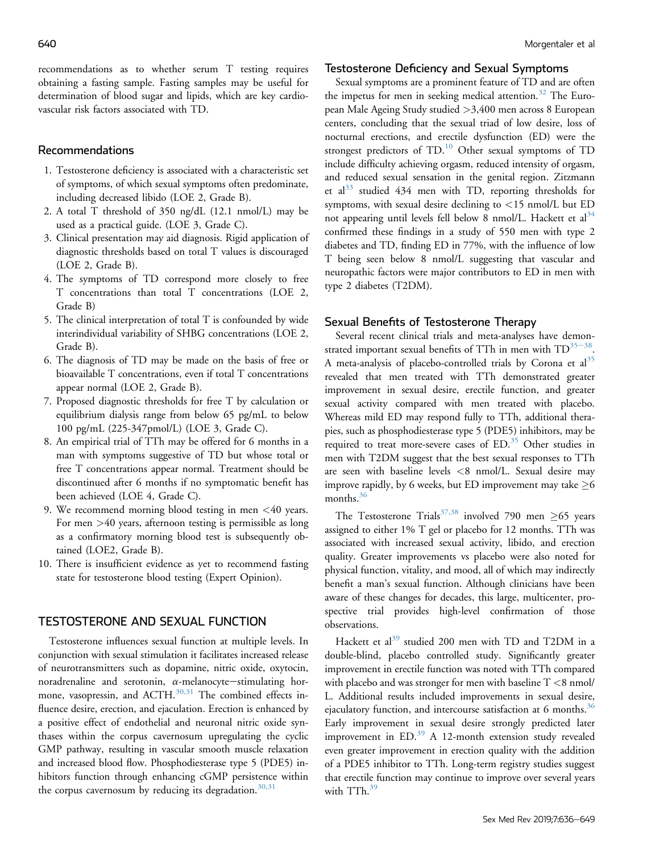recommendations as to whether serum T testing requires obtaining a fasting sample. Fasting samples may be useful for determination of blood sugar and lipids, which are key cardiovascular risk factors associated with TD.

## Recommendations

- 1. Testosterone deficiency is associated with a characteristic set of symptoms, of which sexual symptoms often predominate, including decreased libido (LOE 2, Grade B).
- 2. A total T threshold of 350 ng/dL (12.1 nmol/L) may be used as a practical guide. (LOE 3, Grade C).
- 3. Clinical presentation may aid diagnosis. Rigid application of diagnostic thresholds based on total T values is discouraged (LOE 2, Grade B).
- 4. The symptoms of TD correspond more closely to free T concentrations than total T concentrations (LOE 2, Grade B)
- 5. The clinical interpretation of total T is confounded by wide interindividual variability of SHBG concentrations (LOE 2, Grade B).
- 6. The diagnosis of TD may be made on the basis of free or bioavailable T concentrations, even if total T concentrations appear normal (LOE 2, Grade B).
- 7. Proposed diagnostic thresholds for free T by calculation or equilibrium dialysis range from below 65 pg/mL to below 100 pg/mL (225-347pmol/L) (LOE 3, Grade C).
- 8. An empirical trial of TTh may be offered for 6 months in a man with symptoms suggestive of TD but whose total or free T concentrations appear normal. Treatment should be discontinued after 6 months if no symptomatic benefit has been achieved (LOE 4, Grade C).
- 9. We recommend morning blood testing in men <40 years. For men >40 years, afternoon testing is permissible as long as a confirmatory morning blood test is subsequently obtained (LOE2, Grade B).
- 10. There is insufficient evidence as yet to recommend fasting state for testosterone blood testing (Expert Opinion).

# TESTOSTERONE AND SEXUAL FUNCTION

Testosterone influences sexual function at multiple levels. In conjunction with sexual stimulation it facilitates increased release of neurotransmitters such as dopamine, nitric oxide, oxytocin, noradrenaline and serotonin,  $\alpha$ -melanocyte-stimulating hormone, vasopressin, and ACTH. $30,31$  The combined effects influence desire, erection, and ejaculation. Erection is enhanced by a positive effect of endothelial and neuronal nitric oxide synthases within the corpus cavernosum upregulating the cyclic GMP pathway, resulting in vascular smooth muscle relaxation and increased blood flow. Phosphodiesterase type 5 (PDE5) inhibitors function through enhancing cGMP persistence within the corpus cavernosum by reducing its degradation.<sup>[30,31](#page-10-0)</sup>

### Testosterone Deficiency and Sexual Symptoms

Sexual symptoms are a prominent feature of TD and are often the impetus for men in seeking medical attention.<sup>[32](#page-10-0)</sup> The European Male Ageing Study studied >3,400 men across 8 European centers, concluding that the sexual triad of low desire, loss of nocturnal erections, and erectile dysfunction (ED) were the strongest predictors of  $TD<sub>10</sub>$  $TD<sub>10</sub>$  $TD<sub>10</sub>$  Other sexual symptoms of  $TD$ include difficulty achieving orgasm, reduced intensity of orgasm, and reduced sexual sensation in the genital region. Zitzmann et al<sup>[33](#page-10-0)</sup> studied 434 men with TD, reporting thresholds for symptoms, with sexual desire declining to <15 nmol/L but ED not appearing until levels fell below 8 nmol/L. Hackett et al<sup>[34](#page-10-0)</sup> confirmed these findings in a study of 550 men with type 2 diabetes and TD, finding ED in 77%, with the influence of low T being seen below 8 nmol/L suggesting that vascular and neuropathic factors were major contributors to ED in men with type 2 diabetes (T2DM).

### Sexual Benefits of Testosterone Therapy

Several recent clinical trials and meta-analyses have demonstrated important sexual benefits of TTh in men with  $TD^{35-38}$  $TD^{35-38}$  $TD^{35-38}$ . A meta-analysis of placebo-controlled trials by Corona et  $al<sup>35</sup>$  $al<sup>35</sup>$  $al<sup>35</sup>$ revealed that men treated with TTh demonstrated greater improvement in sexual desire, erectile function, and greater sexual activity compared with men treated with placebo. Whereas mild ED may respond fully to TTh, additional therapies, such as phosphodiesterase type 5 (PDE5) inhibitors, may be required to treat more-severe cases of ED.<sup>[35](#page-10-0)</sup> Other studies in men with T2DM suggest that the best sexual responses to TTh are seen with baseline levels <8 nmol/L. Sexual desire may improve rapidly, by 6 weeks, but ED improvement may take  $\geq 6$ months. $36$ 

The Testosterone Trials<sup>[37,38](#page-10-0)</sup> involved 790 men  $\geq 65$  years assigned to either 1% T gel or placebo for 12 months. TTh was associated with increased sexual activity, libido, and erection quality. Greater improvements vs placebo were also noted for physical function, vitality, and mood, all of which may indirectly benefit a man's sexual function. Although clinicians have been aware of these changes for decades, this large, multicenter, prospective trial provides high-level confirmation of those observations.

Hackett et al<sup>[39](#page-10-0)</sup> studied 200 men with TD and T2DM in a double-blind, placebo controlled study. Significantly greater improvement in erectile function was noted with TTh compared with placebo and was stronger for men with baseline  $T < 8$  nmol/ L. Additional results included improvements in sexual desire, ejaculatory function, and intercourse satisfaction at 6 months.<sup>[36](#page-10-0)</sup> Early improvement in sexual desire strongly predicted later improvement in  $ED.^{39}$  $ED.^{39}$  $ED.^{39}$  A 12-month extension study revealed even greater improvement in erection quality with the addition of a PDE5 inhibitor to TTh. Long-term registry studies suggest that erectile function may continue to improve over several years with  $TTh.<sup>39</sup>$  $TTh.<sup>39</sup>$  $TTh.<sup>39</sup>$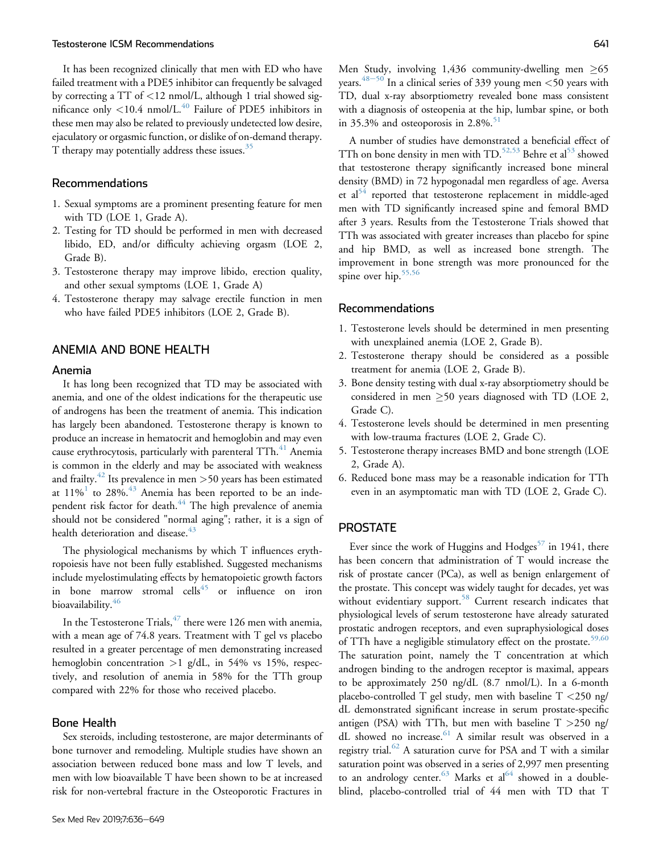It has been recognized clinically that men with ED who have failed treatment with a PDE5 inhibitor can frequently be salvaged by correcting a TT of <12 nmol/L, although 1 trial showed significance only  $\langle 10.4 \text{ nmol/L}^{40}$  $\langle 10.4 \text{ nmol/L}^{40}$  $\langle 10.4 \text{ nmol/L}^{40}$  Failure of PDE5 inhibitors in these men may also be related to previously undetected low desire, ejaculatory or orgasmic function, or dislike of on-demand therapy. T therapy may potentially address these issues.<sup>[35](#page-10-0)</sup>

#### Recommendations

- 1. Sexual symptoms are a prominent presenting feature for men with TD (LOE 1, Grade A).
- 2. Testing for TD should be performed in men with decreased libido, ED, and/or difficulty achieving orgasm (LOE 2, Grade B).
- 3. Testosterone therapy may improve libido, erection quality, and other sexual symptoms (LOE 1, Grade A)
- 4. Testosterone therapy may salvage erectile function in men who have failed PDE5 inhibitors (LOE 2, Grade B).

### ANEMIA AND BONE HEALTH

#### Anemia

It has long been recognized that TD may be associated with anemia, and one of the oldest indications for the therapeutic use of androgens has been the treatment of anemia. This indication has largely been abandoned. Testosterone therapy is known to produce an increase in hematocrit and hemoglobin and may even cause erythrocytosis, particularly with parenteral  $TTh.<sup>41</sup>$  $TTh.<sup>41</sup>$  $TTh.<sup>41</sup>$  Anemia is common in the elderly and may be associated with weakness and frailty.<sup>[42](#page-10-0)</sup> Its prevalence in men  $>$  50 years has been estimated at  $11\%$  $11\%$ <sup>1</sup> to 28%.<sup>[43](#page-10-0)</sup> Anemia has been reported to be an inde-pendent risk factor for death.<sup>[44](#page-10-0)</sup> The high prevalence of anemia should not be considered "normal aging"; rather, it is a sign of health deterioration and disease.<sup>[43](#page-10-0)</sup>

The physiological mechanisms by which T influences erythropoiesis have not been fully established. Suggested mechanisms include myelostimulating effects by hematopoietic growth factors in bone marrow stromal cells $45$  or influence on iron bioavailability.<sup>[46](#page-10-0)</sup>

In the Testosterone Trials,  $47$  there were 126 men with anemia, with a mean age of 74.8 years. Treatment with T gel vs placebo resulted in a greater percentage of men demonstrating increased hemoglobin concentration  $>1$  g/dL, in 54% vs 15%, respectively, and resolution of anemia in 58% for the TTh group compared with 22% for those who received placebo.

### Bone Health

Sex steroids, including testosterone, are major determinants of bone turnover and remodeling. Multiple studies have shown an association between reduced bone mass and low T levels, and men with low bioavailable T have been shown to be at increased risk for non-vertebral fracture in the Osteoporotic Fractures in

Men Study, involving 1,436 community-dwelling men  $\geq 65$ years. $^{48-50}$  $^{48-50}$  $^{48-50}$  $^{48-50}$  $^{48-50}$  In a clinical series of 339 young men  $<$  50 years with TD, dual x-ray absorptiometry revealed bone mass consistent with a diagnosis of osteopenia at the hip, lumbar spine, or both in 35.3% and osteoporosis in  $2.8\%$ .<sup>[51](#page-10-0)</sup>

A number of studies have demonstrated a beneficial effect of TTh on bone density in men with  $TD.$ <sup>[52,53](#page-10-0)</sup> Behre et al<sup>[53](#page-10-0)</sup> showed that testosterone therapy significantly increased bone mineral density (BMD) in 72 hypogonadal men regardless of age. Aversa et  $al^{54}$  $al^{54}$  $al^{54}$  reported that testosterone replacement in middle-aged men with TD significantly increased spine and femoral BMD after 3 years. Results from the Testosterone Trials showed that TTh was associated with greater increases than placebo for spine and hip BMD, as well as increased bone strength. The improvement in bone strength was more pronounced for the spine over hip.<sup>[55,56](#page-10-0)</sup>

### Recommendations

- 1. Testosterone levels should be determined in men presenting with unexplained anemia (LOE 2, Grade B).
- 2. Testosterone therapy should be considered as a possible treatment for anemia (LOE 2, Grade B).
- 3. Bone density testing with dual x-ray absorptiometry should be considered in men  $\geq 50$  years diagnosed with TD (LOE 2, Grade C).
- 4. Testosterone levels should be determined in men presenting with low-trauma fractures (LOE 2, Grade C).
- 5. Testosterone therapy increases BMD and bone strength (LOE 2, Grade A).
- 6. Reduced bone mass may be a reasonable indication for TTh even in an asymptomatic man with TD (LOE 2, Grade C).

### PROSTATE

Ever since the work of Huggins and Hodges<sup>[57](#page-10-0)</sup> in 1941, there has been concern that administration of T would increase the risk of prostate cancer (PCa), as well as benign enlargement of the prostate. This concept was widely taught for decades, yet was without evidentiary support.<sup>[58](#page-10-0)</sup> Current research indicates that physiological levels of serum testosterone have already saturated prostatic androgen receptors, and even supraphysiological doses of TTh have a negligible stimulatory effect on the prostate.<sup>[59,60](#page-11-0)</sup> The saturation point, namely the T concentration at which androgen binding to the androgen receptor is maximal, appears to be approximately 250 ng/dL (8.7 nmol/L). In a 6-month placebo-controlled T gel study, men with baseline  $T < 250$  ng/ dL demonstrated significant increase in serum prostate-specific antigen (PSA) with TTh, but men with baseline T >250 ng/ dL showed no increase.<sup>[61](#page-11-0)</sup> A similar result was observed in a registry trial.<sup>[62](#page-11-0)</sup> A saturation curve for PSA and T with a similar saturation point was observed in a series of 2,997 men presenting to an andrology center.<sup>[63](#page-11-0)</sup> Marks et al<sup>[64](#page-11-0)</sup> showed in a doubleblind, placebo-controlled trial of 44 men with TD that T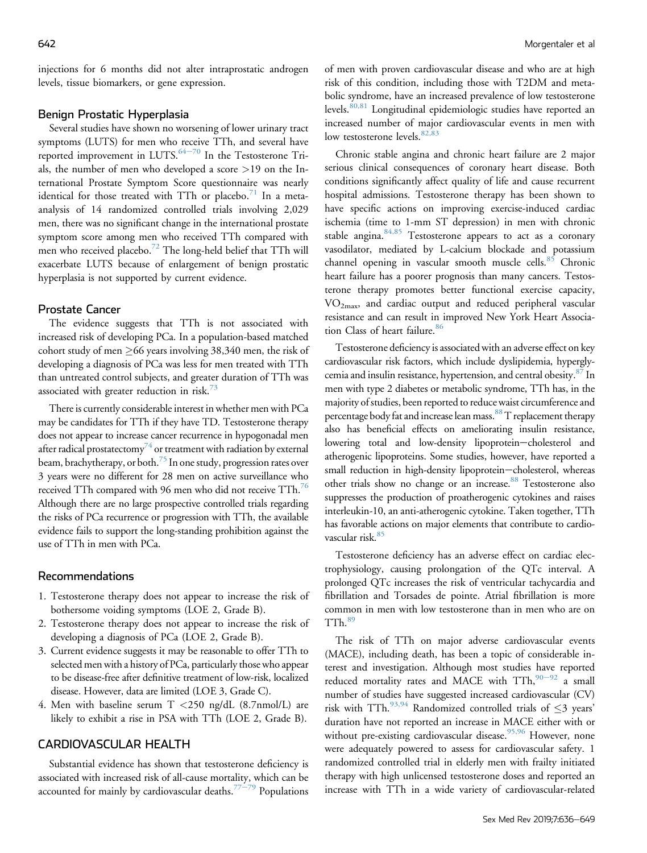injections for 6 months did not alter intraprostatic androgen levels, tissue biomarkers, or gene expression.

### Benign Prostatic Hyperplasia

Several studies have shown no worsening of lower urinary tract symptoms (LUTS) for men who receive TTh, and several have reported improvement in LUTS. $64-70$  $64-70$  $64-70$  In the Testosterone Trials, the number of men who developed a score >19 on the International Prostate Symptom Score questionnaire was nearly identical for those treated with TTh or placebo.<sup>[71](#page-11-0)</sup> In a metaanalysis of 14 randomized controlled trials involving 2,029 men, there was no significant change in the international prostate symptom score among men who received TTh compared with men who received placebo.<sup>[72](#page-11-0)</sup> The long-held belief that TTh will exacerbate LUTS because of enlargement of benign prostatic hyperplasia is not supported by current evidence.

### Prostate Cancer

The evidence suggests that TTh is not associated with increased risk of developing PCa. In a population-based matched cohort study of men  $\geq$  66 years involving 38,340 men, the risk of developing a diagnosis of PCa was less for men treated with TTh than untreated control subjects, and greater duration of TTh was associated with greater reduction in risk. $^{73}$  $^{73}$  $^{73}$ 

There is currently considerable interest in whether men with PCa may be candidates for TTh if they have TD. Testosterone therapy does not appear to increase cancer recurrence in hypogonadal men after radical prostatectomy<sup>74</sup> or treatment with radiation by external beam, brachytherapy, or both.<sup>75</sup> In one study, progression rates over 3 years were no different for 28 men on active surveillance who received TTh compared with 96 men who did not receive TTh.<sup>[76](#page-11-0)</sup> Although there are no large prospective controlled trials regarding the risks of PCa recurrence or progression with TTh, the available evidence fails to support the long-standing prohibition against the use of TTh in men with PCa.

### Recommendations

- 1. Testosterone therapy does not appear to increase the risk of bothersome voiding symptoms (LOE 2, Grade B).
- 2. Testosterone therapy does not appear to increase the risk of developing a diagnosis of PCa (LOE 2, Grade B).
- 3. Current evidence suggests it may be reasonable to offer TTh to selected men with a history of PCa, particularly those who appear to be disease-free after definitive treatment of low-risk, localized disease. However, data are limited (LOE 3, Grade C).
- 4. Men with baseline serum T <250 ng/dL (8.7nmol/L) are likely to exhibit a rise in PSA with TTh (LOE 2, Grade B).

# CARDIOVASCULAR HEALTH

Substantial evidence has shown that testosterone deficiency is associated with increased risk of all-cause mortality, which can be accounted for mainly by cardiovascular deaths. $77-79$  $77-79$  Populations of men with proven cardiovascular disease and who are at high risk of this condition, including those with T2DM and metabolic syndrome, have an increased prevalence of low testosterone levels.<sup>[80,81](#page-11-0)</sup> Longitudinal epidemiologic studies have reported an increased number of major cardiovascular events in men with low testosterone levels. <sup>[82,83](#page-11-0)</sup>

Chronic stable angina and chronic heart failure are 2 major serious clinical consequences of coronary heart disease. Both conditions significantly affect quality of life and cause recurrent hospital admissions. Testosterone therapy has been shown to have specific actions on improving exercise-induced cardiac ischemia (time to 1-mm ST depression) in men with chronic stable angina.  $84,85$  Testosterone appears to act as a coronary vasodilator, mediated by L-calcium blockade and potassium channel opening in vascular smooth muscle cells.<sup>[85](#page-11-0)</sup> Chronic heart failure has a poorer prognosis than many cancers. Testosterone therapy promotes better functional exercise capacity, VO2max, and cardiac output and reduced peripheral vascular resistance and can result in improved New York Heart Associa-tion Class of heart failure.<sup>[86](#page-11-0)</sup>

Testosterone deficiency is associated with an adverse effect on key cardiovascular risk factors, which include dyslipidemia, hypergly-cemia and insulin resistance, hypertension, and central obesity.<sup>[87](#page-11-0)</sup> In men with type 2 diabetes or metabolic syndrome, TTh has, in the majority of studies, been reported to reduce waist circumference and percentage body fat and increase lean mass.<sup>88</sup> T replacement therapy also has beneficial effects on ameliorating insulin resistance, lowering total and low-density lipoprotein-cholesterol and atherogenic lipoproteins. Some studies, however, have reported a small reduction in high-density lipoprotein-cholesterol, whereas other trials show no change or an increase.[88](#page-11-0) Testosterone also suppresses the production of proatherogenic cytokines and raises interleukin-10, an anti-atherogenic cytokine. Taken together, TTh has favorable actions on major elements that contribute to cardiovascular risk.[85](#page-11-0)

Testosterone deficiency has an adverse effect on cardiac electrophysiology, causing prolongation of the QTc interval. A prolonged QTc increases the risk of ventricular tachycardia and fibrillation and Torsades de pointe. Atrial fibrillation is more common in men with low testosterone than in men who are on TTh.[89](#page-11-0)

The risk of TTh on major adverse cardiovascular events (MACE), including death, has been a topic of considerable interest and investigation. Although most studies have reported reduced mortality rates and MACE with TTh, $90-92$  $90-92$  $90-92$  a small number of studies have suggested increased cardiovascular (CV) risk with TTh.<sup>[93,94](#page-12-0)</sup> Randomized controlled trials of  $\leq$ 3 years' duration have not reported an increase in MACE either with or without pre-existing cardiovascular disease.<sup>[95,96](#page-12-0)</sup> However, none were adequately powered to assess for cardiovascular safety. 1 randomized controlled trial in elderly men with frailty initiated therapy with high unlicensed testosterone doses and reported an increase with TTh in a wide variety of cardiovascular-related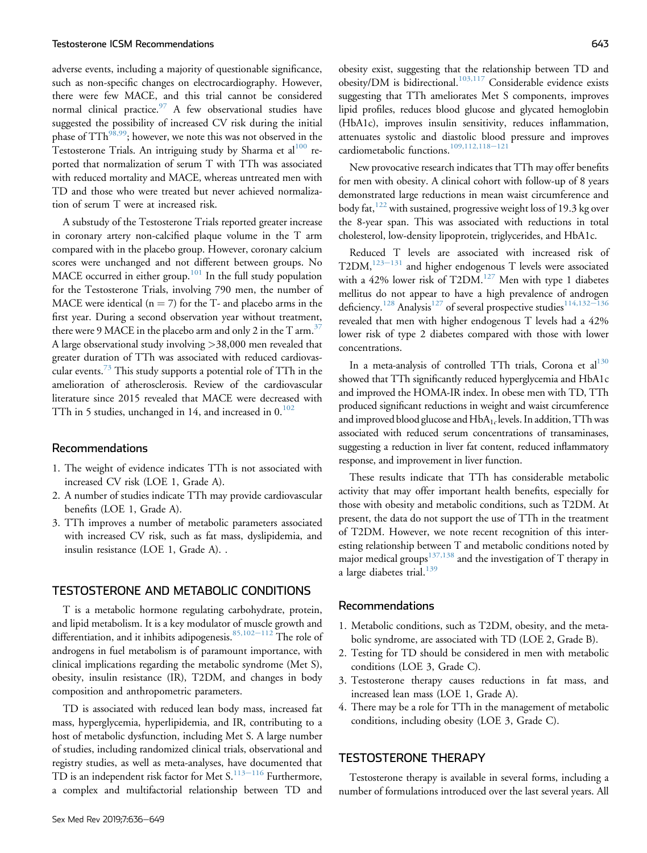adverse events, including a majority of questionable significance, such as non-specific changes on electrocardiography. However, there were few MACE, and this trial cannot be considered normal clinical practice. $97$  A few observational studies have suggested the possibility of increased CV risk during the initial phase of TTh<sup>[98,99](#page-12-0)</sup>; however, we note this was not observed in the Testosterone Trials. An intriguing study by Sharma et  $al^{100}$  $al^{100}$  $al^{100}$  reported that normalization of serum T with TTh was associated with reduced mortality and MACE, whereas untreated men with TD and those who were treated but never achieved normalization of serum T were at increased risk.

A substudy of the Testosterone Trials reported greater increase in coronary artery non-calcified plaque volume in the T arm compared with in the placebo group. However, coronary calcium scores were unchanged and not different between groups. No MACE occurred in either group. $101$  In the full study population for the Testosterone Trials, involving 790 men, the number of MACE were identical ( $n = 7$ ) for the T- and placebo arms in the first year. During a second observation year without treatment, there were 9 MACE in the placebo arm and only 2 in the T arm.<sup>[37](#page-10-0)</sup> A large observational study involving >38,000 men revealed that greater duration of TTh was associated with reduced cardiovascular events.<sup>73</sup> This study supports a potential role of TTh in the amelioration of atherosclerosis. Review of the cardiovascular literature since 2015 revealed that MACE were decreased with TTh in 5 studies, unchanged in 14, and increased in  $0.^{102}$  $0.^{102}$  $0.^{102}$ 

# Recommendations

- 1. The weight of evidence indicates TTh is not associated with increased CV risk (LOE 1, Grade A).
- 2. A number of studies indicate TTh may provide cardiovascular benefits (LOE 1, Grade A).
- 3. TTh improves a number of metabolic parameters associated with increased CV risk, such as fat mass, dyslipidemia, and insulin resistance (LOE 1, Grade A). .

# TESTOSTERONE AND METABOLIC CONDITIONS

T is a metabolic hormone regulating carbohydrate, protein, and lipid metabolism. It is a key modulator of muscle growth and differentiation, and it inhibits adipogenesis.<sup>[85,102](#page-11-0)-[112](#page-11-0)</sup> The role of androgens in fuel metabolism is of paramount importance, with clinical implications regarding the metabolic syndrome (Met S), obesity, insulin resistance (IR), T2DM, and changes in body composition and anthropometric parameters.

TD is associated with reduced lean body mass, increased fat mass, hyperglycemia, hyperlipidemia, and IR, contributing to a host of metabolic dysfunction, including Met S. A large number of studies, including randomized clinical trials, observational and registry studies, as well as meta-analyses, have documented that TD is an independent risk factor for Met  $S<sup>113-116</sup>$  $S<sup>113-116</sup>$  $S<sup>113-116</sup>$  Furthermore, a complex and multifactorial relationship between TD and obesity exist, suggesting that the relationship between TD and obesity/DM is bidirectional.<sup>[103,117](#page-12-0)</sup> Considerable evidence exists suggesting that TTh ameliorates Met S components, improves lipid profiles, reduces blood glucose and glycated hemoglobin (HbA1c), improves insulin sensitivity, reduces inflammation, attenuates systolic and diastolic blood pressure and improves cardiometabolic functions.<sup>[109,112,118](#page-12-0)-[121](#page-12-0)</sup>

New provocative research indicates that TTh may offer benefits for men with obesity. A clinical cohort with follow-up of 8 years demonstrated large reductions in mean waist circumference and body fat,  $122$  with sustained, progressive weight loss of 19.3 kg over the 8-year span. This was associated with reductions in total cholesterol, low-density lipoprotein, triglycerides, and HbA1c.

Reduced T levels are associated with increased risk of  $T2DM,$ <sup>[123](#page-13-0)-[131](#page-13-0)</sup> and higher endogenous T levels were associated with a 42% lower risk of  $T2DM$ <sup>[127](#page-13-0)</sup> Men with type 1 diabetes mellitus do not appear to have a high prevalence of androgen deficiency.<sup>[128](#page-13-0)</sup> Analysis<sup>[127](#page-13-0)</sup> of several prospective studies<sup>[114,132](#page-12-0)-[136](#page-12-0)</sup> revealed that men with higher endogenous T levels had a 42% lower risk of type 2 diabetes compared with those with lower concentrations.

In a meta-analysis of controlled TTh trials, Corona et  $al<sup>130</sup>$ showed that TTh significantly reduced hyperglycemia and HbA1c and improved the HOMA-IR index. In obese men with TD, TTh produced significant reductions in weight and waist circumference and improved blood glucose and  $HbA_{1c}$  levels. In addition, TTh was associated with reduced serum concentrations of transaminases, suggesting a reduction in liver fat content, reduced inflammatory response, and improvement in liver function.

These results indicate that TTh has considerable metabolic activity that may offer important health benefits, especially for those with obesity and metabolic conditions, such as T2DM. At present, the data do not support the use of TTh in the treatment of T2DM. However, we note recent recognition of this interesting relationship between T and metabolic conditions noted by major medical groups<sup>[137,138](#page-13-0)</sup> and the investigation of T therapy in a large diabetes trial. $139$ 

#### Recommendations

- 1. Metabolic conditions, such as T2DM, obesity, and the metabolic syndrome, are associated with TD (LOE 2, Grade B).
- 2. Testing for TD should be considered in men with metabolic conditions (LOE 3, Grade C).
- 3. Testosterone therapy causes reductions in fat mass, and increased lean mass (LOE 1, Grade A).
- 4. There may be a role for TTh in the management of metabolic conditions, including obesity (LOE 3, Grade C).

# TESTOSTERONE THERAPY

Testosterone therapy is available in several forms, including a number of formulations introduced over the last several years. All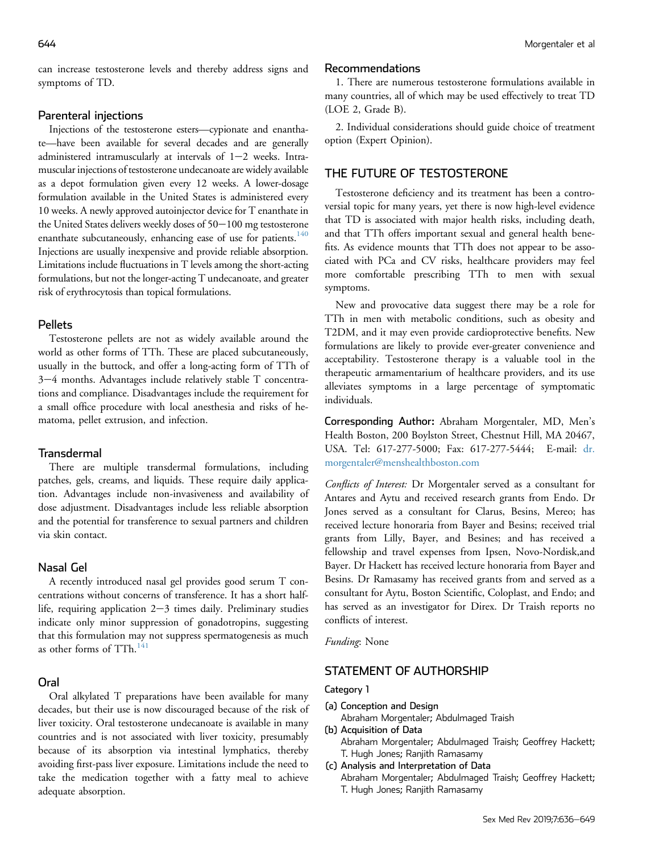can increase testosterone levels and thereby address signs and symptoms of TD.

### Parenteral injections

Injections of the testosterone esters—cypionate and enanthate—have been available for several decades and are generally administered intramuscularly at intervals of  $1-2$  weeks. Intramuscular injections of testosterone undecanoate are widely available as a depot formulation given every 12 weeks. A lower-dosage formulation available in the United States is administered every 10 weeks. A newly approved autoinjector device for T enanthate in the United States delivers weekly doses of  $50-100$  mg testosterone enanthate subcutaneously, enhancing ease of use for patients.<sup>140</sup> Injections are usually inexpensive and provide reliable absorption. Limitations include fluctuations in T levels among the short-acting formulations, but not the longer-acting T undecanoate, and greater risk of erythrocytosis than topical formulations.

### Pellets

Testosterone pellets are not as widely available around the world as other forms of TTh. These are placed subcutaneously, usually in the buttock, and offer a long-acting form of TTh of 3-4 months. Advantages include relatively stable T concentrations and compliance. Disadvantages include the requirement for a small office procedure with local anesthesia and risks of hematoma, pellet extrusion, and infection.

# **Transdermal**

There are multiple transdermal formulations, including patches, gels, creams, and liquids. These require daily application. Advantages include non-invasiveness and availability of dose adjustment. Disadvantages include less reliable absorption and the potential for transference to sexual partners and children via skin contact.

### Nasal Gel

A recently introduced nasal gel provides good serum T concentrations without concerns of transference. It has a short halflife, requiring application  $2-3$  times daily. Preliminary studies indicate only minor suppression of gonadotropins, suggesting that this formulation may not suppress spermatogenesis as much as other forms of  $TTh.$ <sup>[141](#page-13-0)</sup>

### Oral

Oral alkylated T preparations have been available for many decades, but their use is now discouraged because of the risk of liver toxicity. Oral testosterone undecanoate is available in many countries and is not associated with liver toxicity, presumably because of its absorption via intestinal lymphatics, thereby avoiding first-pass liver exposure. Limitations include the need to take the medication together with a fatty meal to achieve adequate absorption.

### Recommendations

1. There are numerous testosterone formulations available in many countries, all of which may be used effectively to treat TD (LOE 2, Grade B).

2. Individual considerations should guide choice of treatment option (Expert Opinion).

### THE FUTURE OF TESTOSTERONE

Testosterone deficiency and its treatment has been a controversial topic for many years, yet there is now high-level evidence that TD is associated with major health risks, including death, and that TTh offers important sexual and general health benefits. As evidence mounts that TTh does not appear to be associated with PCa and CV risks, healthcare providers may feel more comfortable prescribing TTh to men with sexual symptoms.

New and provocative data suggest there may be a role for TTh in men with metabolic conditions, such as obesity and T2DM, and it may even provide cardioprotective benefits. New formulations are likely to provide ever-greater convenience and acceptability. Testosterone therapy is a valuable tool in the therapeutic armamentarium of healthcare providers, and its use alleviates symptoms in a large percentage of symptomatic individuals.

Corresponding Author: Abraham Morgentaler, MD, Men's Health Boston, 200 Boylston Street, Chestnut Hill, MA 20467, USA. Tel: 617-277-5000; Fax: 617-277-5444; E-mail: [dr.](mailto:dr.morgentaler@menshealthboston.com) [morgentaler@menshealthboston.com](mailto:dr.morgentaler@menshealthboston.com)

Conflicts of Interest: Dr Morgentaler served as a consultant for Antares and Aytu and received research grants from Endo. Dr Jones served as a consultant for Clarus, Besins, Mereo; has received lecture honoraria from Bayer and Besins; received trial grants from Lilly, Bayer, and Besines; and has received a fellowship and travel expenses from Ipsen, Novo-Nordisk,and Bayer. Dr Hackett has received lecture honoraria from Bayer and Besins. Dr Ramasamy has received grants from and served as a consultant for Aytu, Boston Scientific, Coloplast, and Endo; and has served as an investigator for Direx. Dr Traish reports no conflicts of interest.

Funding: None

# STATEMENT OF AUTHORSHIP

#### Category 1

(a) Conception and Design

Abraham Morgentaler; Abdulmaged Traish

- (b) Acquisition of Data Abraham Morgentaler; Abdulmaged Traish; Geoffrey Hackett; T. Hugh Jones; Ranjith Ramasamy
- (c) Analysis and Interpretation of Data
	- Abraham Morgentaler; Abdulmaged Traish; Geoffrey Hackett; T. Hugh Jones; Ranjith Ramasamy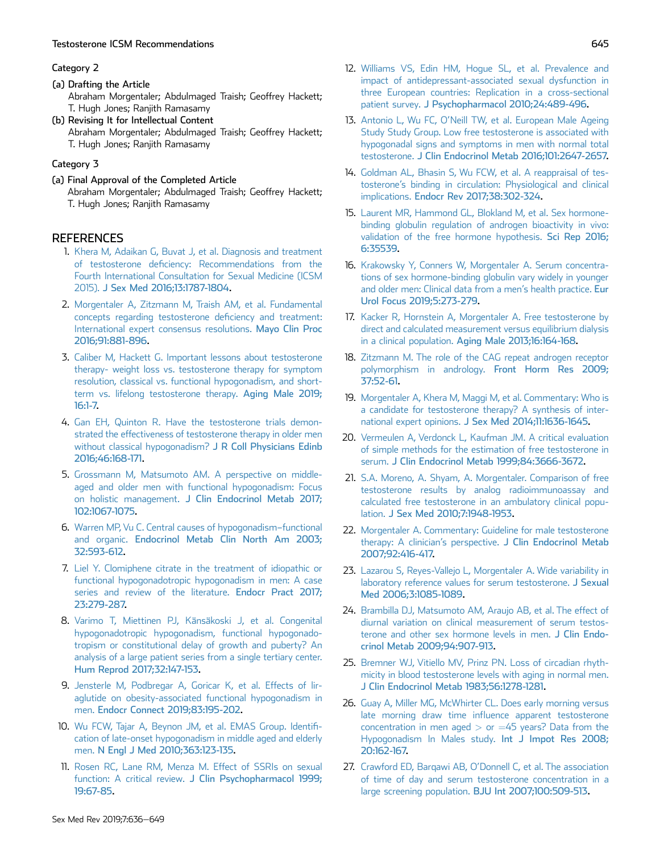### <span id="page-9-0"></span>Category 2

### (a) Drafting the Article

- Abraham Morgentaler; Abdulmaged Traish; Geoffrey Hackett; T. Hugh Jones; Ranjith Ramasamy
- (b) Revising It for Intellectual Content Abraham Morgentaler; Abdulmaged Traish; Geoffrey Hackett; T. Hugh Jones; Ranjith Ramasamy

### Category 3

(a) Final Approval of the Completed Article Abraham Morgentaler; Abdulmaged Traish; Geoffrey Hackett; T. Hugh Jones; Ranjith Ramasamy

# **REFERENCES**

- 1. [Khera M, Adaikan G, Buvat J, et al. Diagnosis and treatment](http://refhub.elsevier.com/S2050-0521(19)30067-8/sref1) of testosterone defi[ciency: Recommendations from the](http://refhub.elsevier.com/S2050-0521(19)30067-8/sref1) [Fourth International Consultation for Sexual Medicine \(ICSM](http://refhub.elsevier.com/S2050-0521(19)30067-8/sref1) 2015). [J Sex Med 2016;13:1787-1804](http://refhub.elsevier.com/S2050-0521(19)30067-8/sref1).
- 2. [Morgentaler A, Zitzmann M, Traish AM, et al. Fundamental](http://refhub.elsevier.com/S2050-0521(19)30067-8/sref2) [concepts regarding testosterone de](http://refhub.elsevier.com/S2050-0521(19)30067-8/sref2)ficiency and treatment: [International expert consensus resolutions.](http://refhub.elsevier.com/S2050-0521(19)30067-8/sref2) Mayo Clin Proc [2016;91:881-896.](http://refhub.elsevier.com/S2050-0521(19)30067-8/sref2)
- 3. [Caliber M, Hackett G. Important lessons about testosterone](http://refhub.elsevier.com/S2050-0521(19)30067-8/sref3) [therapy- weight loss vs. testosterone therapy for symptom](http://refhub.elsevier.com/S2050-0521(19)30067-8/sref3) [resolution, classical vs. functional hypogonadism, and short](http://refhub.elsevier.com/S2050-0521(19)30067-8/sref3)[term vs. lifelong testosterone therapy.](http://refhub.elsevier.com/S2050-0521(19)30067-8/sref3) Aging Male 2019; [16:1-7.](http://refhub.elsevier.com/S2050-0521(19)30067-8/sref3)
- 4. [Gan EH, Quinton R. Have the testosterone trials demon](http://refhub.elsevier.com/S2050-0521(19)30067-8/sref4)[strated the effectiveness of testosterone therapy in older men](http://refhub.elsevier.com/S2050-0521(19)30067-8/sref4) [without classical hypogonadism?](http://refhub.elsevier.com/S2050-0521(19)30067-8/sref4) J R Coll Physicians Edinb [2016;46:168-171](http://refhub.elsevier.com/S2050-0521(19)30067-8/sref4).
- 5. [Grossmann M, Matsumoto AM. A perspective on middle](http://refhub.elsevier.com/S2050-0521(19)30067-8/sref5)[aged and older men with functional hypogonadism: Focus](http://refhub.elsevier.com/S2050-0521(19)30067-8/sref5) on holistic management. [J Clin Endocrinol Metab 2017;](http://refhub.elsevier.com/S2050-0521(19)30067-8/sref5) [102:1067-1075.](http://refhub.elsevier.com/S2050-0521(19)30067-8/sref5)
- 6. [Warren MP, Vu C. Central causes of hypogonadism](http://refhub.elsevier.com/S2050-0521(19)30067-8/sref6)–functional and organic. [Endocrinol Metab Clin North Am 2003;](http://refhub.elsevier.com/S2050-0521(19)30067-8/sref6) [32:593-612.](http://refhub.elsevier.com/S2050-0521(19)30067-8/sref6)
- 7. [Liel Y. Clomiphene citrate in the treatment of idiopathic or](http://refhub.elsevier.com/S2050-0521(19)30067-8/sref7) [functional hypogonadotropic hypogonadism in men: A case](http://refhub.elsevier.com/S2050-0521(19)30067-8/sref7) [series and review of the literature.](http://refhub.elsevier.com/S2050-0521(19)30067-8/sref7) Endocr Pract 2017; [23:279-287.](http://refhub.elsevier.com/S2050-0521(19)30067-8/sref7)
- 8. [Varimo T, Miettinen PJ, Känsäkoski J, et al. Congenital](http://refhub.elsevier.com/S2050-0521(19)30067-8/sref8) [hypogonadotropic hypogonadism, functional hypogonado](http://refhub.elsevier.com/S2050-0521(19)30067-8/sref8)[tropism or constitutional delay of growth and puberty? An](http://refhub.elsevier.com/S2050-0521(19)30067-8/sref8) [analysis of a large patient series from a single tertiary center.](http://refhub.elsevier.com/S2050-0521(19)30067-8/sref8) [Hum Reprod 2017;32:147-153](http://refhub.elsevier.com/S2050-0521(19)30067-8/sref8).
- 9. [Jensterle M, Podbregar A, Goricar K, et al. Effects of lir](http://refhub.elsevier.com/S2050-0521(19)30067-8/sref9)[aglutide on obesity-associated functional hypogonadism in](http://refhub.elsevier.com/S2050-0521(19)30067-8/sref9) men. [Endocr Connect 2019;83:195-202.](http://refhub.elsevier.com/S2050-0521(19)30067-8/sref9)
- 10. [Wu FCW, Tajar A, Beynon JM, et al. EMAS Group. Identi](http://refhub.elsevier.com/S2050-0521(19)30067-8/sref10)fi[cation of late-onset hypogonadism in middle aged and elderly](http://refhub.elsevier.com/S2050-0521(19)30067-8/sref10) men. [N Engl J Med 2010;363:123-135](http://refhub.elsevier.com/S2050-0521(19)30067-8/sref10).
- 11. [Rosen RC, Lane RM, Menza M. Effect of SSRIs on sexual](http://refhub.elsevier.com/S2050-0521(19)30067-8/sref11) function: A critical review. [J Clin Psychopharmacol 1999;](http://refhub.elsevier.com/S2050-0521(19)30067-8/sref11) [19:67-85.](http://refhub.elsevier.com/S2050-0521(19)30067-8/sref11)
- 12. [Williams VS, Edin HM, Hogue SL, et al. Prevalence and](http://refhub.elsevier.com/S2050-0521(19)30067-8/sref12) [impact of antidepressant-associated sexual dysfunction in](http://refhub.elsevier.com/S2050-0521(19)30067-8/sref12) [three European countries: Replication in a cross-sectional](http://refhub.elsevier.com/S2050-0521(19)30067-8/sref12) patient survey. [J Psychopharmacol 2010;24:489-496.](http://refhub.elsevier.com/S2050-0521(19)30067-8/sref12)
- 13. Antonio L, Wu FC, O'[Neill TW, et al. European Male Ageing](http://refhub.elsevier.com/S2050-0521(19)30067-8/sref13) [Study Study Group. Low free testosterone is associated with](http://refhub.elsevier.com/S2050-0521(19)30067-8/sref13) [hypogonadal signs and symptoms in men with normal total](http://refhub.elsevier.com/S2050-0521(19)30067-8/sref13) testosterone. [J Clin Endocrinol Metab 2016;101:2647-2657.](http://refhub.elsevier.com/S2050-0521(19)30067-8/sref13)
- 14. [Goldman AL, Bhasin S, Wu FCW, et al. A reappraisal of tes](http://refhub.elsevier.com/S2050-0521(19)30067-8/sref14)tosterone'[s binding in circulation: Physiological and clinical](http://refhub.elsevier.com/S2050-0521(19)30067-8/sref14) implications. [Endocr Rev 2017;38:302-324](http://refhub.elsevier.com/S2050-0521(19)30067-8/sref14).
- 15. [Laurent MR, Hammond GL, Blokland M, et al. Sex hormone](http://refhub.elsevier.com/S2050-0521(19)30067-8/sref15)[binding globulin regulation of androgen bioactivity in vivo:](http://refhub.elsevier.com/S2050-0521(19)30067-8/sref15) [validation of the free hormone hypothesis.](http://refhub.elsevier.com/S2050-0521(19)30067-8/sref15) Sci Rep 2016; [6:35539.](http://refhub.elsevier.com/S2050-0521(19)30067-8/sref15)
- 16. [Krakowsky Y, Conners W, Morgentaler A. Serum concentra](http://refhub.elsevier.com/S2050-0521(19)30067-8/sref16)[tions of sex hormone-binding globulin vary widely in younger](http://refhub.elsevier.com/S2050-0521(19)30067-8/sref16) [and older men: Clinical data from a men](http://refhub.elsevier.com/S2050-0521(19)30067-8/sref16)'s health practice. Eur [Urol Focus 2019;5:273-279](http://refhub.elsevier.com/S2050-0521(19)30067-8/sref16).
- 17. [Kacker R, Hornstein A, Morgentaler A. Free testosterone by](http://refhub.elsevier.com/S2050-0521(19)30067-8/sref17) [direct and calculated measurement versus equilibrium dialysis](http://refhub.elsevier.com/S2050-0521(19)30067-8/sref17) in a clinical population. [Aging Male 2013;16:164-168](http://refhub.elsevier.com/S2050-0521(19)30067-8/sref17).
- 18. [Zitzmann M. The role of the CAG repeat androgen receptor](http://refhub.elsevier.com/S2050-0521(19)30067-8/sref18) [polymorphism in andrology.](http://refhub.elsevier.com/S2050-0521(19)30067-8/sref18) Front Horm Res 2009; [37:52-61](http://refhub.elsevier.com/S2050-0521(19)30067-8/sref18).
- 19. [Morgentaler A, Khera M, Maggi M, et al. Commentary: Who is](http://refhub.elsevier.com/S2050-0521(19)30067-8/sref19) [a candidate for testosterone therapy? A synthesis of inter](http://refhub.elsevier.com/S2050-0521(19)30067-8/sref19)national expert opinions. [J Sex Med 2014;11:1636-1645.](http://refhub.elsevier.com/S2050-0521(19)30067-8/sref19)
- 20. [Vermeulen A, Verdonck L, Kaufman JM. A critical evaluation](http://refhub.elsevier.com/S2050-0521(19)30067-8/sref20) [of simple methods for the estimation of free testosterone in](http://refhub.elsevier.com/S2050-0521(19)30067-8/sref20) serum. [J Clin Endocrinol Metab 1999;84:3666-3672.](http://refhub.elsevier.com/S2050-0521(19)30067-8/sref20)
- 21. [S.A. Moreno, A. Shyam, A. Morgentaler. Comparison of free](http://refhub.elsevier.com/S2050-0521(19)30067-8/sref21) [testosterone results by analog radioimmunoassay and](http://refhub.elsevier.com/S2050-0521(19)30067-8/sref21) [calculated free testosterone in an ambulatory clinical popu](http://refhub.elsevier.com/S2050-0521(19)30067-8/sref21)lation. [J Sex Med 2010;7:1948-1953.](http://refhub.elsevier.com/S2050-0521(19)30067-8/sref21)
- 22. [Morgentaler A. Commentary: Guideline for male testosterone](http://refhub.elsevier.com/S2050-0521(19)30067-8/sref22) therapy: A clinician's perspective. [J Clin Endocrinol Metab](http://refhub.elsevier.com/S2050-0521(19)30067-8/sref22) [2007;92:416-417.](http://refhub.elsevier.com/S2050-0521(19)30067-8/sref22)
- 23. [Lazarou S, Reyes-Vallejo L, Morgentaler A. Wide variability in](http://refhub.elsevier.com/S2050-0521(19)30067-8/sref23) [laboratory reference values for serum testosterone.](http://refhub.elsevier.com/S2050-0521(19)30067-8/sref23) J Sexual [Med 2006;3:1085-1089.](http://refhub.elsevier.com/S2050-0521(19)30067-8/sref23)
- 24. [Brambilla DJ, Matsumoto AM, Araujo AB, et al. The effect of](http://refhub.elsevier.com/S2050-0521(19)30067-8/sref24) [diurnal variation on clinical measurement of serum testos](http://refhub.elsevier.com/S2050-0521(19)30067-8/sref24)[terone and other sex hormone levels in men.](http://refhub.elsevier.com/S2050-0521(19)30067-8/sref24) J Clin Endo[crinol Metab 2009;94:907-913.](http://refhub.elsevier.com/S2050-0521(19)30067-8/sref24)
- 25. [Bremner WJ, Vitiello MV, Prinz PN. Loss of circadian rhyth](http://refhub.elsevier.com/S2050-0521(19)30067-8/sref25)[micity in blood testosterone levels with aging in normal men.](http://refhub.elsevier.com/S2050-0521(19)30067-8/sref25) [J Clin Endocrinol Metab 1983;56:1278-1281.](http://refhub.elsevier.com/S2050-0521(19)30067-8/sref25)
- 26. [Guay A, Miller MG, McWhirter CL. Does early morning versus](http://refhub.elsevier.com/S2050-0521(19)30067-8/sref26) late morning draw time infl[uence apparent testosterone](http://refhub.elsevier.com/S2050-0521(19)30067-8/sref26) [concentration in men aged](http://refhub.elsevier.com/S2050-0521(19)30067-8/sref26)  $>$  [or](http://refhub.elsevier.com/S2050-0521(19)30067-8/sref26)  $=45$  years? Data from the [Hypogonadism In Males study.](http://refhub.elsevier.com/S2050-0521(19)30067-8/sref26) Int J Impot Res 2008; [20:162-167.](http://refhub.elsevier.com/S2050-0521(19)30067-8/sref26)
- 27. Crawford ED, Barqawi AB, O'[Donnell C, et al. The association](http://refhub.elsevier.com/S2050-0521(19)30067-8/sref27) [of time of day and serum testosterone concentration in a](http://refhub.elsevier.com/S2050-0521(19)30067-8/sref27) large screening population. [BJU Int 2007;100:509-513](http://refhub.elsevier.com/S2050-0521(19)30067-8/sref27).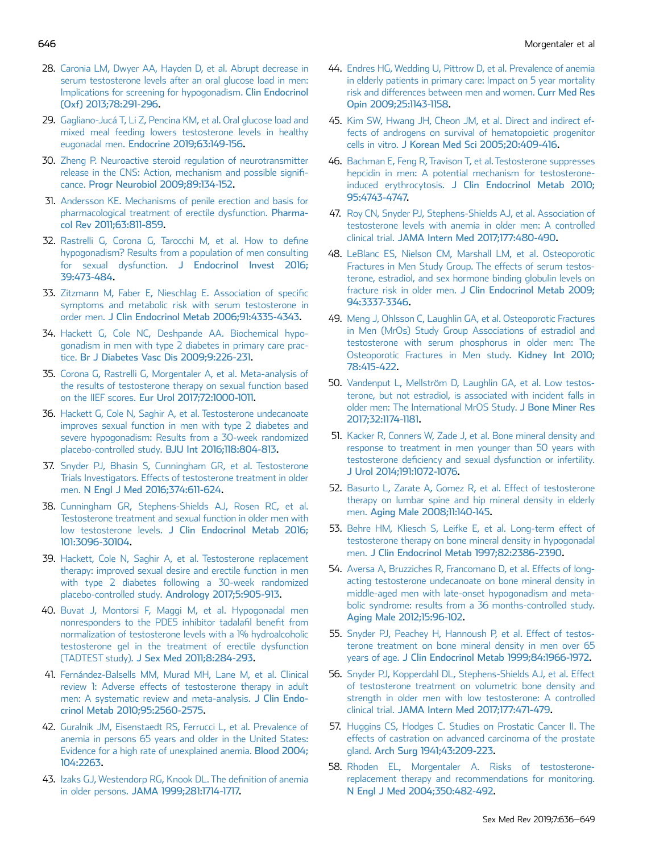- <span id="page-10-0"></span>28. [Caronia LM, Dwyer AA, Hayden D, et al. Abrupt decrease in](http://refhub.elsevier.com/S2050-0521(19)30067-8/sref28) [serum testosterone levels after an oral glucose load in men:](http://refhub.elsevier.com/S2050-0521(19)30067-8/sref28) [Implications for screening for hypogonadism.](http://refhub.elsevier.com/S2050-0521(19)30067-8/sref28) Clin Endocrinol [\(Oxf\) 2013;78:291-296](http://refhub.elsevier.com/S2050-0521(19)30067-8/sref28).
- 29. [Gagliano-Jucá T, Li Z, Pencina KM, et al. Oral glucose load and](http://refhub.elsevier.com/S2050-0521(19)30067-8/sref29) [mixed meal feeding lowers testosterone levels in healthy](http://refhub.elsevier.com/S2050-0521(19)30067-8/sref29) eugonadal men. [Endocrine 2019;63:149-156.](http://refhub.elsevier.com/S2050-0521(19)30067-8/sref29)
- 30. [Zheng P. Neuroactive steroid regulation of neurotransmitter](http://refhub.elsevier.com/S2050-0521(19)30067-8/sref30) [release in the CNS: Action, mechanism and possible signi](http://refhub.elsevier.com/S2050-0521(19)30067-8/sref30)ficance. [Progr Neurobiol 2009;89:134-152](http://refhub.elsevier.com/S2050-0521(19)30067-8/sref30).
- 31. [Andersson KE. Mechanisms of penile erection and basis for](http://refhub.elsevier.com/S2050-0521(19)30067-8/sref31) [pharmacological treatment of erectile dysfunction.](http://refhub.elsevier.com/S2050-0521(19)30067-8/sref31) Pharma[col Rev 2011;63:811-859.](http://refhub.elsevier.com/S2050-0521(19)30067-8/sref31)
- 32. [Rastrelli G, Corona G, Tarocchi M, et al. How to de](http://refhub.elsevier.com/S2050-0521(19)30067-8/sref32)fine [hypogonadism? Results from a population of men consulting](http://refhub.elsevier.com/S2050-0521(19)30067-8/sref32) for sexual dysfunction. [J Endocrinol Invest 2016;](http://refhub.elsevier.com/S2050-0521(19)30067-8/sref32) [39:473-484](http://refhub.elsevier.com/S2050-0521(19)30067-8/sref32).
- 33. [Zitzmann M, Faber E, Nieschlag E. Association of speci](http://refhub.elsevier.com/S2050-0521(19)30067-8/sref33)fic [symptoms and metabolic risk with serum testosterone in](http://refhub.elsevier.com/S2050-0521(19)30067-8/sref33) order men. [J Clin Endocrinol Metab 2006;91:4335-4343.](http://refhub.elsevier.com/S2050-0521(19)30067-8/sref33)
- 34. [Hackett G, Cole NC, Deshpande AA. Biochemical hypo](http://refhub.elsevier.com/S2050-0521(19)30067-8/sref34)[gonadism in men with type 2 diabetes in primary care prac](http://refhub.elsevier.com/S2050-0521(19)30067-8/sref34)tice. [Br J Diabetes Vasc Dis 2009;9:226-231](http://refhub.elsevier.com/S2050-0521(19)30067-8/sref34).
- 35. [Corona G, Rastrelli G, Morgentaler A, et al. Meta-analysis of](http://refhub.elsevier.com/S2050-0521(19)30067-8/sref35) [the results of testosterone therapy on sexual function based](http://refhub.elsevier.com/S2050-0521(19)30067-8/sref35) on the IIEF scores. [Eur Urol 2017;72:1000-1011.](http://refhub.elsevier.com/S2050-0521(19)30067-8/sref35)
- 36. [Hackett G, Cole N, Saghir A, et al. Testosterone undecanoate](http://refhub.elsevier.com/S2050-0521(19)30067-8/sref36) [improves sexual function in men with type 2 diabetes and](http://refhub.elsevier.com/S2050-0521(19)30067-8/sref36) [severe hypogonadism: Results from a 30-week randomized](http://refhub.elsevier.com/S2050-0521(19)30067-8/sref36) placebo-controlled study. [BJU Int 2016;118:804-813.](http://refhub.elsevier.com/S2050-0521(19)30067-8/sref36)
- 37. [Snyder PJ, Bhasin S, Cunningham GR, et al. Testosterone](http://refhub.elsevier.com/S2050-0521(19)30067-8/sref37) [Trials Investigators. Effects of testosterone treatment in older](http://refhub.elsevier.com/S2050-0521(19)30067-8/sref37) men. [N Engl J Med 2016;374:611-624.](http://refhub.elsevier.com/S2050-0521(19)30067-8/sref37)
- 38. [Cunningham GR, Stephens-Shields AJ, Rosen RC, et al.](http://refhub.elsevier.com/S2050-0521(19)30067-8/sref38) [Testosterone treatment and sexual function in older men with](http://refhub.elsevier.com/S2050-0521(19)30067-8/sref38) low testosterone levels. [J Clin Endocrinol Metab 2016;](http://refhub.elsevier.com/S2050-0521(19)30067-8/sref38) [101:3096-30104.](http://refhub.elsevier.com/S2050-0521(19)30067-8/sref38)
- 39. [Hackett, Cole N, Saghir A, et al. Testosterone replacement](http://refhub.elsevier.com/S2050-0521(19)30067-8/sref39) [therapy: improved sexual desire and erectile function in men](http://refhub.elsevier.com/S2050-0521(19)30067-8/sref39) [with type 2 diabetes following a 30-week randomized](http://refhub.elsevier.com/S2050-0521(19)30067-8/sref39) placebo-controlled study. [Andrology 2017;5:905-913](http://refhub.elsevier.com/S2050-0521(19)30067-8/sref39).
- 40. [Buvat J, Montorsi F, Maggi M, et al. Hypogonadal men](http://refhub.elsevier.com/S2050-0521(19)30067-8/sref40) [nonresponders to the PDE5 inhibitor tadala](http://refhub.elsevier.com/S2050-0521(19)30067-8/sref40)fil benefit from [normalization of testosterone levels with a 1% hydroalcoholic](http://refhub.elsevier.com/S2050-0521(19)30067-8/sref40) [testosterone gel in the treatment of erectile dysfunction](http://refhub.elsevier.com/S2050-0521(19)30067-8/sref40) (TADTEST study). [J Sex Med 2011;8:284-293](http://refhub.elsevier.com/S2050-0521(19)30067-8/sref40).
- 41. [Fernández-Balsells MM, Murad MH, Lane M, et al. Clinical](http://refhub.elsevier.com/S2050-0521(19)30067-8/sref41) [review 1: Adverse effects of testosterone therapy in adult](http://refhub.elsevier.com/S2050-0521(19)30067-8/sref41) [men: A systematic review and meta-analysis.](http://refhub.elsevier.com/S2050-0521(19)30067-8/sref41) J Clin Endo[crinol Metab 2010;95:2560-2575.](http://refhub.elsevier.com/S2050-0521(19)30067-8/sref41)
- 42. [Guralnik JM, Eisenstaedt RS, Ferrucci L, et al. Prevalence of](http://refhub.elsevier.com/S2050-0521(19)30067-8/sref42) [anemia in persons 65 years and older in the United States:](http://refhub.elsevier.com/S2050-0521(19)30067-8/sref42) [Evidence for a high rate of unexplained anemia.](http://refhub.elsevier.com/S2050-0521(19)30067-8/sref42) Blood 2004; [104:2263.](http://refhub.elsevier.com/S2050-0521(19)30067-8/sref42)
- 43. [Izaks GJ, Westendorp RG, Knook DL. The de](http://refhub.elsevier.com/S2050-0521(19)30067-8/sref43)finition of anemia in older persons. [JAMA 1999;281:1714-1717.](http://refhub.elsevier.com/S2050-0521(19)30067-8/sref43)
- 44. [Endres HG, Wedding U, Pittrow D, et al. Prevalence of anemia](http://refhub.elsevier.com/S2050-0521(19)30067-8/sref44) [in elderly patients in primary care: Impact on 5 year mortality](http://refhub.elsevier.com/S2050-0521(19)30067-8/sref44) [risk and differences between men and women.](http://refhub.elsevier.com/S2050-0521(19)30067-8/sref44) Curr Med Res [Opin 2009;25:1143-1158.](http://refhub.elsevier.com/S2050-0521(19)30067-8/sref44)
- 45. [Kim SW, Hwang JH, Cheon JM, et al. Direct and indirect ef](http://refhub.elsevier.com/S2050-0521(19)30067-8/sref45)[fects of androgens on survival of hematopoietic progenitor](http://refhub.elsevier.com/S2050-0521(19)30067-8/sref45) cells in vitro. [J Korean Med Sci 2005;20:409-416](http://refhub.elsevier.com/S2050-0521(19)30067-8/sref45).
- 46. [Bachman E, Feng R, Travison T, et al. Testosterone suppresses](http://refhub.elsevier.com/S2050-0521(19)30067-8/sref46) [hepcidin in men: A potential mechanism for testosterone](http://refhub.elsevier.com/S2050-0521(19)30067-8/sref46)induced erythrocytosis. [J Clin Endocrinol Metab 2010;](http://refhub.elsevier.com/S2050-0521(19)30067-8/sref46) [95:4743-4747.](http://refhub.elsevier.com/S2050-0521(19)30067-8/sref46)
- 47. [Roy CN, Snyder PJ, Stephens-Shields AJ, et al. Association of](http://refhub.elsevier.com/S2050-0521(19)30067-8/sref47) [testosterone levels with anemia in older men: A controlled](http://refhub.elsevier.com/S2050-0521(19)30067-8/sref47) clinical trial. [JAMA Intern Med 2017;177:480-490](http://refhub.elsevier.com/S2050-0521(19)30067-8/sref47).
- 48. [LeBlanc ES, Nielson CM, Marshall LM, et al. Osteoporotic](http://refhub.elsevier.com/S2050-0521(19)30067-8/sref48) [Fractures in Men Study Group. The effects of serum testos](http://refhub.elsevier.com/S2050-0521(19)30067-8/sref48)[terone, estradiol, and sex hormone binding globulin levels on](http://refhub.elsevier.com/S2050-0521(19)30067-8/sref48) fracture risk in older men. [J Clin Endocrinol Metab 2009;](http://refhub.elsevier.com/S2050-0521(19)30067-8/sref48) [94:3337-3346.](http://refhub.elsevier.com/S2050-0521(19)30067-8/sref48)
- 49. [Meng J, Ohlsson C, Laughlin GA, et al. Osteoporotic Fractures](http://refhub.elsevier.com/S2050-0521(19)30067-8/sref49) [in Men \(MrOs\) Study Group Associations of estradiol and](http://refhub.elsevier.com/S2050-0521(19)30067-8/sref49) [testosterone with serum phosphorus in older men: The](http://refhub.elsevier.com/S2050-0521(19)30067-8/sref49) [Osteoporotic Fractures in Men study.](http://refhub.elsevier.com/S2050-0521(19)30067-8/sref49) Kidney Int 2010; [78:415-422.](http://refhub.elsevier.com/S2050-0521(19)30067-8/sref49)
- 50. [Vandenput L, Mellström D, Laughlin GA, et al. Low testos](http://refhub.elsevier.com/S2050-0521(19)30067-8/sref50)[terone, but not estradiol, is associated with incident falls in](http://refhub.elsevier.com/S2050-0521(19)30067-8/sref50) [older men: The International MrOS Study.](http://refhub.elsevier.com/S2050-0521(19)30067-8/sref50) J Bone Miner Res [2017;32:1174-1181](http://refhub.elsevier.com/S2050-0521(19)30067-8/sref50).
- 51. [Kacker R, Conners W, Zade J, et al. Bone mineral density and](http://refhub.elsevier.com/S2050-0521(19)30067-8/sref51) [response to treatment in men younger than 50 years with](http://refhub.elsevier.com/S2050-0521(19)30067-8/sref51) testosterone defi[ciency and sexual dysfunction or infertility.](http://refhub.elsevier.com/S2050-0521(19)30067-8/sref51) [J Urol 2014;191:1072-1076.](http://refhub.elsevier.com/S2050-0521(19)30067-8/sref51)
- 52. [Basurto L, Zarate A, Gomez R, et al. Effect of testosterone](http://refhub.elsevier.com/S2050-0521(19)30067-8/sref52) [therapy on lumbar spine and hip mineral density in elderly](http://refhub.elsevier.com/S2050-0521(19)30067-8/sref52) men. [Aging Male 2008;11:140-145.](http://refhub.elsevier.com/S2050-0521(19)30067-8/sref52)
- 53. [Behre HM, Kliesch S, Leifke E, et al. Long-term effect of](http://refhub.elsevier.com/S2050-0521(19)30067-8/sref53) [testosterone therapy on bone mineral density in hypogonadal](http://refhub.elsevier.com/S2050-0521(19)30067-8/sref53) men. [J Clin Endocrinol Metab 1997;82:2386-2390.](http://refhub.elsevier.com/S2050-0521(19)30067-8/sref53)
- 54. [Aversa A, Bruzziches R, Francomano D, et al. Effects of long](http://refhub.elsevier.com/S2050-0521(19)30067-8/sref54)[acting testosterone undecanoate on bone mineral density in](http://refhub.elsevier.com/S2050-0521(19)30067-8/sref54) [middle-aged men with late-onset hypogonadism and meta](http://refhub.elsevier.com/S2050-0521(19)30067-8/sref54)[bolic syndrome: results from a 36 months-controlled study.](http://refhub.elsevier.com/S2050-0521(19)30067-8/sref54) [Aging Male 2012;15:96-102.](http://refhub.elsevier.com/S2050-0521(19)30067-8/sref54)
- 55. [Snyder PJ, Peachey H, Hannoush P, et al. Effect of testos](http://refhub.elsevier.com/S2050-0521(19)30067-8/sref55)[terone treatment on bone mineral density in men over 65](http://refhub.elsevier.com/S2050-0521(19)30067-8/sref55) years of age. [J Clin Endocrinol Metab 1999;84:1966-1972.](http://refhub.elsevier.com/S2050-0521(19)30067-8/sref55)
- 56. [Snyder PJ, Kopperdahl DL, Stephens-Shields AJ, et al. Effect](http://refhub.elsevier.com/S2050-0521(19)30067-8/sref56) [of testosterone treatment on volumetric bone density and](http://refhub.elsevier.com/S2050-0521(19)30067-8/sref56) [strength in older men with low testosterone: A controlled](http://refhub.elsevier.com/S2050-0521(19)30067-8/sref56) clinical trial. [JAMA Intern Med 2017;177:471-479](http://refhub.elsevier.com/S2050-0521(19)30067-8/sref56).
- 57. [Huggins CS, Hodges C. Studies on Prostatic Cancer II. The](http://refhub.elsevier.com/S2050-0521(19)30067-8/sref57) [effects of castration on advanced carcinoma of the prostate](http://refhub.elsevier.com/S2050-0521(19)30067-8/sref57) gland. [Arch Surg 1941;43:209-223.](http://refhub.elsevier.com/S2050-0521(19)30067-8/sref57)
- 58. [Rhoden EL, Morgentaler A. Risks of testosterone](http://refhub.elsevier.com/S2050-0521(19)30067-8/sref58)[replacement therapy and recommendations for monitoring.](http://refhub.elsevier.com/S2050-0521(19)30067-8/sref58) [N Engl J Med 2004;350:482-492.](http://refhub.elsevier.com/S2050-0521(19)30067-8/sref58)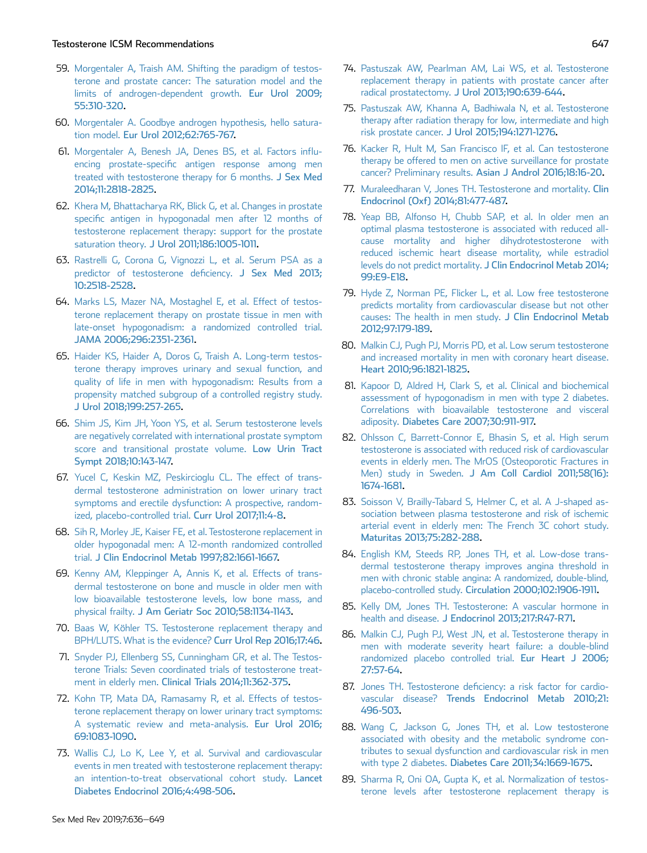- <span id="page-11-0"></span>59. [Morgentaler A, Traish AM. Shifting the paradigm of testos](http://refhub.elsevier.com/S2050-0521(19)30067-8/sref59)[terone and prostate cancer: The saturation model and the](http://refhub.elsevier.com/S2050-0521(19)30067-8/sref59) [limits of androgen-dependent growth.](http://refhub.elsevier.com/S2050-0521(19)30067-8/sref59) Eur Urol 2009; [55:310-320](http://refhub.elsevier.com/S2050-0521(19)30067-8/sref59).
- 60. [Morgentaler A. Goodbye androgen hypothesis, hello satura](http://refhub.elsevier.com/S2050-0521(19)30067-8/sref60)tion model. [Eur Urol 2012;62:765-767.](http://refhub.elsevier.com/S2050-0521(19)30067-8/sref60)
- 61. [Morgentaler A, Benesh JA, Denes BS, et al. Factors in](http://refhub.elsevier.com/S2050-0521(19)30067-8/sref61)fluencing prostate-specifi[c antigen response among men](http://refhub.elsevier.com/S2050-0521(19)30067-8/sref61) [treated with testosterone therapy for 6 months.](http://refhub.elsevier.com/S2050-0521(19)30067-8/sref61) J Sex Med [2014;11:2818-2825](http://refhub.elsevier.com/S2050-0521(19)30067-8/sref61).
- 62. [Khera M, Bhattacharya RK, Blick G, et al. Changes in prostate](http://refhub.elsevier.com/S2050-0521(19)30067-8/sref62) specifi[c antigen in hypogonadal men after 12 months of](http://refhub.elsevier.com/S2050-0521(19)30067-8/sref62) [testosterone replacement therapy: support for the prostate](http://refhub.elsevier.com/S2050-0521(19)30067-8/sref62) saturation theory. [J Urol 2011;186:1005-1011](http://refhub.elsevier.com/S2050-0521(19)30067-8/sref62).
- 63. [Rastrelli G, Corona G, Vignozzi L, et al. Serum PSA as a](http://refhub.elsevier.com/S2050-0521(19)30067-8/sref63) [predictor of testosterone de](http://refhub.elsevier.com/S2050-0521(19)30067-8/sref63)ficiency. J Sex Med 2013; [10:2518-2528](http://refhub.elsevier.com/S2050-0521(19)30067-8/sref63).
- 64. [Marks LS, Mazer NA, Mostaghel E, et al. Effect of testos](http://refhub.elsevier.com/S2050-0521(19)30067-8/sref64)[terone replacement therapy on prostate tissue in men with](http://refhub.elsevier.com/S2050-0521(19)30067-8/sref64) [late-onset hypogonadism: a randomized controlled trial.](http://refhub.elsevier.com/S2050-0521(19)30067-8/sref64) [JAMA 2006;296:2351-2361](http://refhub.elsevier.com/S2050-0521(19)30067-8/sref64).
- 65. [Haider KS, Haider A, Doros G, Traish A. Long-term testos](http://refhub.elsevier.com/S2050-0521(19)30067-8/sref65)[terone therapy improves urinary and sexual function, and](http://refhub.elsevier.com/S2050-0521(19)30067-8/sref65) [quality of life in men with hypogonadism: Results from a](http://refhub.elsevier.com/S2050-0521(19)30067-8/sref65) [propensity matched subgroup of a controlled registry study.](http://refhub.elsevier.com/S2050-0521(19)30067-8/sref65) [J Urol 2018;199:257-265.](http://refhub.elsevier.com/S2050-0521(19)30067-8/sref65)
- 66. [Shim JS, Kim JH, Yoon YS, et al. Serum testosterone levels](http://refhub.elsevier.com/S2050-0521(19)30067-8/sref66) [are negatively correlated with international prostate symptom](http://refhub.elsevier.com/S2050-0521(19)30067-8/sref66) [score and transitional prostate volume.](http://refhub.elsevier.com/S2050-0521(19)30067-8/sref66) Low Urin Tract [Sympt 2018;10:143-147.](http://refhub.elsevier.com/S2050-0521(19)30067-8/sref66)
- 67. [Yucel C, Keskin MZ, Peskircioglu CL. The effect of trans](http://refhub.elsevier.com/S2050-0521(19)30067-8/sref67)[dermal testosterone administration on lower urinary tract](http://refhub.elsevier.com/S2050-0521(19)30067-8/sref67) [symptoms and erectile dysfunction: A prospective, random](http://refhub.elsevier.com/S2050-0521(19)30067-8/sref67)[ized, placebo-controlled trial.](http://refhub.elsevier.com/S2050-0521(19)30067-8/sref67) Curr Urol 2017;11:4-8.
- 68. [Sih R, Morley JE, Kaiser FE, et al. Testosterone replacement in](http://refhub.elsevier.com/S2050-0521(19)30067-8/sref68) [older hypogonadal men: A 12-month randomized controlled](http://refhub.elsevier.com/S2050-0521(19)30067-8/sref68) trial. [J Clin Endocrinol Metab 1997;82:1661-1667.](http://refhub.elsevier.com/S2050-0521(19)30067-8/sref68)
- 69. [Kenny AM, Kleppinger A, Annis K, et al. Effects of trans](http://refhub.elsevier.com/S2050-0521(19)30067-8/sref69)[dermal testosterone on bone and muscle in older men with](http://refhub.elsevier.com/S2050-0521(19)30067-8/sref69) [low bioavailable testosterone levels, low bone mass, and](http://refhub.elsevier.com/S2050-0521(19)30067-8/sref69) physical frailty. [J Am Geriatr Soc 2010;58:1134-1143.](http://refhub.elsevier.com/S2050-0521(19)30067-8/sref69)
- 70. [Baas W, Köhler TS. Testosterone replacement therapy and](http://refhub.elsevier.com/S2050-0521(19)30067-8/sref70) [BPH/LUTS. What is the evidence?](http://refhub.elsevier.com/S2050-0521(19)30067-8/sref70) Curr Urol Rep 2016;17:46.
- 71. [Snyder PJ, Ellenberg SS, Cunningham GR, et al. The Testos](http://refhub.elsevier.com/S2050-0521(19)30067-8/sref71)[terone Trials: Seven coordinated trials of testosterone treat](http://refhub.elsevier.com/S2050-0521(19)30067-8/sref71)ment in elderly men. [Clinical Trials 2014;11:362-375](http://refhub.elsevier.com/S2050-0521(19)30067-8/sref71).
- 72. [Kohn TP, Mata DA, Ramasamy R, et al. Effects of testos](http://refhub.elsevier.com/S2050-0521(19)30067-8/sref72)[terone replacement therapy on lower urinary tract symptoms:](http://refhub.elsevier.com/S2050-0521(19)30067-8/sref72) [A systematic review and meta-analysis.](http://refhub.elsevier.com/S2050-0521(19)30067-8/sref72) Eur Urol 2016; [69:1083-1090.](http://refhub.elsevier.com/S2050-0521(19)30067-8/sref72)
- 73. [Wallis CJ, Lo K, Lee Y, et al. Survival and cardiovascular](http://refhub.elsevier.com/S2050-0521(19)30067-8/sref73) [events in men treated with testosterone replacement therapy:](http://refhub.elsevier.com/S2050-0521(19)30067-8/sref73) [an intention-to-treat observational cohort study.](http://refhub.elsevier.com/S2050-0521(19)30067-8/sref73) Lancet [Diabetes Endocrinol 2016;4:498-506.](http://refhub.elsevier.com/S2050-0521(19)30067-8/sref73)
- 74. [Pastuszak AW, Pearlman AM, Lai WS, et al. Testosterone](http://refhub.elsevier.com/S2050-0521(19)30067-8/sref74) [replacement therapy in patients with prostate cancer after](http://refhub.elsevier.com/S2050-0521(19)30067-8/sref74) radical prostatectomy. [J Urol 2013;190:639-644](http://refhub.elsevier.com/S2050-0521(19)30067-8/sref74).
- 75. [Pastuszak AW, Khanna A, Badhiwala N, et al. Testosterone](http://refhub.elsevier.com/S2050-0521(19)30067-8/sref75) [therapy after radiation therapy for low, intermediate and high](http://refhub.elsevier.com/S2050-0521(19)30067-8/sref75) risk prostate cancer. [J Urol 2015;194:1271-1276.](http://refhub.elsevier.com/S2050-0521(19)30067-8/sref75)
- 76. [Kacker R, Hult M, San Francisco IF, et al. Can testosterone](http://refhub.elsevier.com/S2050-0521(19)30067-8/sref76) [therapy be offered to men on active surveillance for prostate](http://refhub.elsevier.com/S2050-0521(19)30067-8/sref76) cancer? Preliminary results. [Asian J Androl 2016;18:16-20.](http://refhub.elsevier.com/S2050-0521(19)30067-8/sref76)
- 77. [Muraleedharan V, Jones TH. Testosterone and mortality.](http://refhub.elsevier.com/S2050-0521(19)30067-8/sref77) Clin [Endocrinol \(Oxf\) 2014;81:477-487.](http://refhub.elsevier.com/S2050-0521(19)30067-8/sref77)
- 78. [Yeap BB, Alfonso H, Chubb SAP, et al. In older men an](http://refhub.elsevier.com/S2050-0521(19)30067-8/sref78) [optimal plasma testosterone is associated with reduced all](http://refhub.elsevier.com/S2050-0521(19)30067-8/sref78)[cause mortality and higher dihydrotestosterone with](http://refhub.elsevier.com/S2050-0521(19)30067-8/sref78) [reduced ischemic heart disease mortality, while estradiol](http://refhub.elsevier.com/S2050-0521(19)30067-8/sref78) levels do not predict mortality. [J Clin Endocrinol Metab 2014;](http://refhub.elsevier.com/S2050-0521(19)30067-8/sref78) [99:E9-E18](http://refhub.elsevier.com/S2050-0521(19)30067-8/sref78).
- 79. [Hyde Z, Norman PE, Flicker L, et al. Low free testosterone](http://refhub.elsevier.com/S2050-0521(19)30067-8/sref79) [predicts mortality from cardiovascular disease but not other](http://refhub.elsevier.com/S2050-0521(19)30067-8/sref79) [causes: The health in men study.](http://refhub.elsevier.com/S2050-0521(19)30067-8/sref79) J Clin Endocrinol Metab [2012;97:179-189.](http://refhub.elsevier.com/S2050-0521(19)30067-8/sref79)
- 80. [Malkin CJ, Pugh PJ, Morris PD, et al. Low serum testosterone](http://refhub.elsevier.com/S2050-0521(19)30067-8/sref80) [and increased mortality in men with coronary heart disease.](http://refhub.elsevier.com/S2050-0521(19)30067-8/sref80) [Heart 2010;96:1821-1825.](http://refhub.elsevier.com/S2050-0521(19)30067-8/sref80)
- 81. [Kapoor D, Aldred H, Clark S, et al. Clinical and biochemical](http://refhub.elsevier.com/S2050-0521(19)30067-8/sref81) [assessment of hypogonadism in men with type 2 diabetes.](http://refhub.elsevier.com/S2050-0521(19)30067-8/sref81) [Correlations with bioavailable testosterone and visceral](http://refhub.elsevier.com/S2050-0521(19)30067-8/sref81) adiposity. [Diabetes Care 2007;30:911-917.](http://refhub.elsevier.com/S2050-0521(19)30067-8/sref81)
- 82. [Ohlsson C, Barrett-Connor E, Bhasin S, et al. High serum](http://refhub.elsevier.com/S2050-0521(19)30067-8/sref82) [testosterone is associated with reduced risk of cardiovascular](http://refhub.elsevier.com/S2050-0521(19)30067-8/sref82) [events in elderly men. The MrOS \(Osteoporotic Fractures in](http://refhub.elsevier.com/S2050-0521(19)30067-8/sref82) Men) study in Sweden. [J Am Coll Cardiol 2011;58\(16\):](http://refhub.elsevier.com/S2050-0521(19)30067-8/sref82) [1674-1681](http://refhub.elsevier.com/S2050-0521(19)30067-8/sref82).
- 83. [Soisson V, Brailly-Tabard S, Helmer C, et al. A J-shaped as](http://refhub.elsevier.com/S2050-0521(19)30067-8/sref83)[sociation between plasma testosterone and risk of ischemic](http://refhub.elsevier.com/S2050-0521(19)30067-8/sref83) [arterial event in elderly men: The French 3C cohort study.](http://refhub.elsevier.com/S2050-0521(19)30067-8/sref83) [Maturitas 2013;75:282-288](http://refhub.elsevier.com/S2050-0521(19)30067-8/sref83).
- 84. [English KM, Steeds RP, Jones TH, et al. Low-dose trans](http://refhub.elsevier.com/S2050-0521(19)30067-8/sref84)[dermal testosterone therapy improves angina threshold in](http://refhub.elsevier.com/S2050-0521(19)30067-8/sref84) [men with chronic stable angina: A randomized, double-blind,](http://refhub.elsevier.com/S2050-0521(19)30067-8/sref84) placebo-controlled study. [Circulation 2000;102:1906-1911.](http://refhub.elsevier.com/S2050-0521(19)30067-8/sref84)
- 85. [Kelly DM, Jones TH. Testosterone: A vascular hormone in](http://refhub.elsevier.com/S2050-0521(19)30067-8/sref85) health and disease. [J Endocrinol 2013;217:R47-R71.](http://refhub.elsevier.com/S2050-0521(19)30067-8/sref85)
- 86. [Malkin CJ, Pugh PJ, West JN, et al. Testosterone therapy in](http://refhub.elsevier.com/S2050-0521(19)30067-8/sref86) [men with moderate severity heart failure: a double-blind](http://refhub.elsevier.com/S2050-0521(19)30067-8/sref86) [randomized placebo controlled trial.](http://refhub.elsevier.com/S2050-0521(19)30067-8/sref86) Eur Heart J 2006; [27:57-64.](http://refhub.elsevier.com/S2050-0521(19)30067-8/sref86)
- 87. Jones TH. Testosterone defi[ciency: a risk factor for cardio](http://refhub.elsevier.com/S2050-0521(19)30067-8/sref87)vascular disease? [Trends Endocrinol Metab 2010;21:](http://refhub.elsevier.com/S2050-0521(19)30067-8/sref87) [496-503](http://refhub.elsevier.com/S2050-0521(19)30067-8/sref87).
- 88. [Wang C, Jackson G, Jones TH, et al. Low testosterone](http://refhub.elsevier.com/S2050-0521(19)30067-8/sref88) [associated with obesity and the metabolic syndrome con](http://refhub.elsevier.com/S2050-0521(19)30067-8/sref88)[tributes to sexual dysfunction and cardiovascular risk in men](http://refhub.elsevier.com/S2050-0521(19)30067-8/sref88) with type 2 diabetes. [Diabetes Care 2011;34:1669-1675.](http://refhub.elsevier.com/S2050-0521(19)30067-8/sref88)
- 89. [Sharma R, Oni OA, Gupta K, et al. Normalization of testos](http://refhub.elsevier.com/S2050-0521(19)30067-8/sref89)[terone levels after testosterone replacement therapy is](http://refhub.elsevier.com/S2050-0521(19)30067-8/sref89)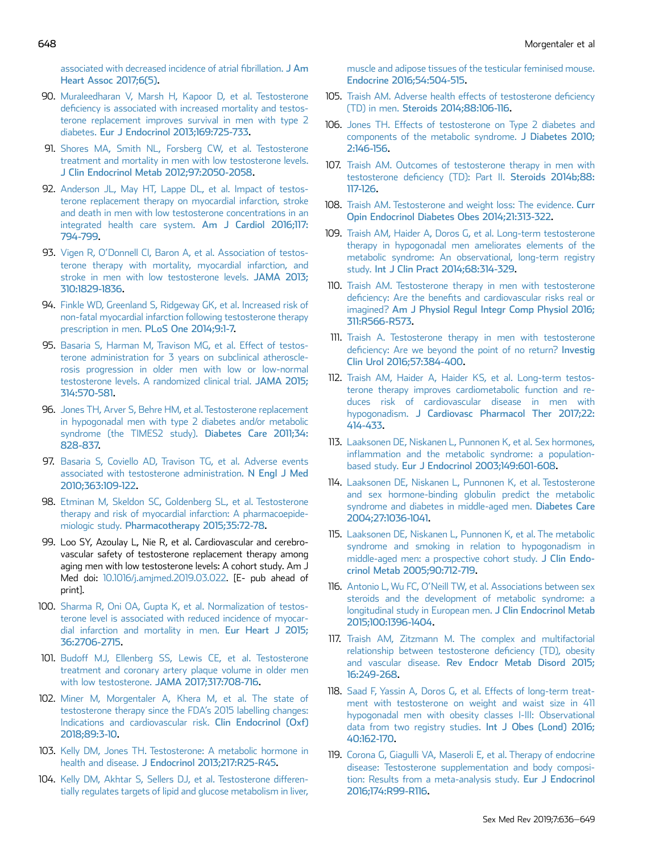<span id="page-12-0"></span>[associated with decreased incidence of atrial](http://refhub.elsevier.com/S2050-0521(19)30067-8/sref89) fibrillation. J Am [Heart Assoc 2017;6\(5\)](http://refhub.elsevier.com/S2050-0521(19)30067-8/sref89).

- 90. [Muraleedharan V, Marsh H, Kapoor D, et al. Testosterone](http://refhub.elsevier.com/S2050-0521(19)30067-8/sref90) defi[ciency is associated with increased mortality and testos](http://refhub.elsevier.com/S2050-0521(19)30067-8/sref90)[terone replacement improves survival in men with type 2](http://refhub.elsevier.com/S2050-0521(19)30067-8/sref90) diabetes. [Eur J Endocrinol 2013;169:725-733](http://refhub.elsevier.com/S2050-0521(19)30067-8/sref90).
- 91. [Shores MA, Smith NL, Forsberg CW, et al. Testosterone](http://refhub.elsevier.com/S2050-0521(19)30067-8/sref91) [treatment and mortality in men with low testosterone levels.](http://refhub.elsevier.com/S2050-0521(19)30067-8/sref91) [J Clin Endocrinol Metab 2012;97:2050-2058.](http://refhub.elsevier.com/S2050-0521(19)30067-8/sref91)
- 92. [Anderson JL, May HT, Lappe DL, et al. Impact of testos](http://refhub.elsevier.com/S2050-0521(19)30067-8/sref92)[terone replacement therapy on myocardial infarction, stroke](http://refhub.elsevier.com/S2050-0521(19)30067-8/sref92) [and death in men with low testosterone concentrations in an](http://refhub.elsevier.com/S2050-0521(19)30067-8/sref92) [integrated health care system.](http://refhub.elsevier.com/S2050-0521(19)30067-8/sref92) Am J Cardiol 2016;117: [794-799](http://refhub.elsevier.com/S2050-0521(19)30067-8/sref92).
- 93. Vigen R, O'[Donnell CI, Baron A, et al. Association of testos](http://refhub.elsevier.com/S2050-0521(19)30067-8/sref93)[terone therapy with mortality, myocardial infarction, and](http://refhub.elsevier.com/S2050-0521(19)30067-8/sref93) [stroke in men with low testosterone levels.](http://refhub.elsevier.com/S2050-0521(19)30067-8/sref93) JAMA 2013; [310:1829-1836](http://refhub.elsevier.com/S2050-0521(19)30067-8/sref93).
- 94. [Finkle WD, Greenland S, Ridgeway GK, et al. Increased risk of](http://refhub.elsevier.com/S2050-0521(19)30067-8/sref94) [non-fatal myocardial infarction following testosterone therapy](http://refhub.elsevier.com/S2050-0521(19)30067-8/sref94) prescription in men. [PLoS One 2014;9:1-7.](http://refhub.elsevier.com/S2050-0521(19)30067-8/sref94)
- 95. [Basaria S, Harman M, Travison MG, et al. Effect of testos](http://refhub.elsevier.com/S2050-0521(19)30067-8/sref95)[terone administration for 3 years on subclinical atheroscle](http://refhub.elsevier.com/S2050-0521(19)30067-8/sref95)[rosis progression in older men with low or low-normal](http://refhub.elsevier.com/S2050-0521(19)30067-8/sref95) [testosterone levels. A randomized clinical trial.](http://refhub.elsevier.com/S2050-0521(19)30067-8/sref95) JAMA 2015; [314:570-581.](http://refhub.elsevier.com/S2050-0521(19)30067-8/sref95)
- 96. [Jones TH, Arver S, Behre HM, et al. Testosterone replacement](http://refhub.elsevier.com/S2050-0521(19)30067-8/sref96) [in hypogonadal men with type 2 diabetes and/or metabolic](http://refhub.elsevier.com/S2050-0521(19)30067-8/sref96) [syndrome \(the TIMES2 study\).](http://refhub.elsevier.com/S2050-0521(19)30067-8/sref96) Diabetes Care 2011;34: [828-837.](http://refhub.elsevier.com/S2050-0521(19)30067-8/sref96)
- 97. [Basaria S, Coviello AD, Travison TG, et al. Adverse events](http://refhub.elsevier.com/S2050-0521(19)30067-8/sref97) [associated with testosterone administration.](http://refhub.elsevier.com/S2050-0521(19)30067-8/sref97) N Engl J Med [2010;363:109-122.](http://refhub.elsevier.com/S2050-0521(19)30067-8/sref97)
- 98. [Etminan M, Skeldon SC, Goldenberg SL, et al. Testosterone](http://refhub.elsevier.com/S2050-0521(19)30067-8/sref98) [therapy and risk of myocardial infarction: A pharmacoepide](http://refhub.elsevier.com/S2050-0521(19)30067-8/sref98)miologic study. [Pharmacotherapy 2015;35:72-78.](http://refhub.elsevier.com/S2050-0521(19)30067-8/sref98)
- 99. Loo SY, Azoulay L, Nie R, et al. Cardiovascular and cerebrovascular safety of testosterone replacement therapy among aging men with low testosterone levels: A cohort study. Am J Med doi: [10.1016/j.amjmed.2019.03.022.](https://doi.org/10.1016/j.amjmed.2019.03.022) [E- pub ahead of print].
- 100. [Sharma R, Oni OA, Gupta K, et al. Normalization of testos](http://refhub.elsevier.com/S2050-0521(19)30067-8/sref100)[terone level is associated with reduced incidence of myocar](http://refhub.elsevier.com/S2050-0521(19)30067-8/sref100)[dial infarction and mortality in men.](http://refhub.elsevier.com/S2050-0521(19)30067-8/sref100) Eur Heart J 2015; [36:2706-2715.](http://refhub.elsevier.com/S2050-0521(19)30067-8/sref100)
- 101. [Budoff MJ, Ellenberg SS, Lewis CE, et al. Testosterone](http://refhub.elsevier.com/S2050-0521(19)30067-8/sref101) [treatment and coronary artery plaque volume in older men](http://refhub.elsevier.com/S2050-0521(19)30067-8/sref101) with low testosterone. [JAMA 2017;317:708-716](http://refhub.elsevier.com/S2050-0521(19)30067-8/sref101).
- 102. [Miner M, Morgentaler A, Khera M, et al. The state of](http://refhub.elsevier.com/S2050-0521(19)30067-8/sref102) [testosterone therapy since the FDA](http://refhub.elsevier.com/S2050-0521(19)30067-8/sref102)'s 2015 labelling changes: [Indications and cardiovascular risk.](http://refhub.elsevier.com/S2050-0521(19)30067-8/sref102) Clin Endocrinol (Oxf) [2018;89:3-10](http://refhub.elsevier.com/S2050-0521(19)30067-8/sref102).
- 103. [Kelly DM, Jones TH. Testosterone: A metabolic hormone in](http://refhub.elsevier.com/S2050-0521(19)30067-8/sref103) health and disease. [J Endocrinol 2013;217:R25-R45](http://refhub.elsevier.com/S2050-0521(19)30067-8/sref103).
- 104. [Kelly DM, Akhtar S, Sellers DJ, et al. Testosterone differen](http://refhub.elsevier.com/S2050-0521(19)30067-8/sref104)[tially regulates targets of lipid and glucose metabolism in liver,](http://refhub.elsevier.com/S2050-0521(19)30067-8/sref104)

[muscle and adipose tissues of the testicular feminised mouse.](http://refhub.elsevier.com/S2050-0521(19)30067-8/sref104) [Endocrine 2016;54:504-515.](http://refhub.elsevier.com/S2050-0521(19)30067-8/sref104)

- 105. [Traish AM. Adverse health effects of testosterone de](http://refhub.elsevier.com/S2050-0521(19)30067-8/sref105)ficiency (TD) in men. [Steroids 2014;88:106-116.](http://refhub.elsevier.com/S2050-0521(19)30067-8/sref105)
- 106. [Jones TH. Effects of testosterone on Type 2 diabetes and](http://refhub.elsevier.com/S2050-0521(19)30067-8/sref106) [components of the metabolic syndrome.](http://refhub.elsevier.com/S2050-0521(19)30067-8/sref106) J Diabetes 2010; [2:146-156.](http://refhub.elsevier.com/S2050-0521(19)30067-8/sref106)
- 107. [Traish AM. Outcomes of testosterone therapy in men with](http://refhub.elsevier.com/S2050-0521(19)30067-8/sref107) testosterone defi[ciency \(TD\): Part II.](http://refhub.elsevier.com/S2050-0521(19)30067-8/sref107) Steroids 2014b;88: [117-126](http://refhub.elsevier.com/S2050-0521(19)30067-8/sref107).
- 108. [Traish AM. Testosterone and weight loss: The evidence.](http://refhub.elsevier.com/S2050-0521(19)30067-8/sref108) Curr [Opin Endocrinol Diabetes Obes 2014;21:313-322.](http://refhub.elsevier.com/S2050-0521(19)30067-8/sref108)
- 109. [Traish AM, Haider A, Doros G, et al. Long-term testosterone](http://refhub.elsevier.com/S2050-0521(19)30067-8/sref109) [therapy in hypogonadal men ameliorates elements of the](http://refhub.elsevier.com/S2050-0521(19)30067-8/sref109) [metabolic syndrome: An observational, long-term registry](http://refhub.elsevier.com/S2050-0521(19)30067-8/sref109) study. [Int J Clin Pract 2014;68:314-329](http://refhub.elsevier.com/S2050-0521(19)30067-8/sref109).
- 110. [Traish AM. Testosterone therapy in men with testosterone](http://refhub.elsevier.com/S2050-0521(19)30067-8/sref110) deficiency: Are the benefi[ts and cardiovascular risks real or](http://refhub.elsevier.com/S2050-0521(19)30067-8/sref110) imagined? [Am J Physiol Regul Integr Comp Physiol 2016;](http://refhub.elsevier.com/S2050-0521(19)30067-8/sref110) [311:R566-R573.](http://refhub.elsevier.com/S2050-0521(19)30067-8/sref110)
- 111. [Traish A. Testosterone therapy in men with testosterone](http://refhub.elsevier.com/S2050-0521(19)30067-8/sref111) defi[ciency: Are we beyond the point of no return?](http://refhub.elsevier.com/S2050-0521(19)30067-8/sref111) Investig [Clin Urol 2016;57:384-400.](http://refhub.elsevier.com/S2050-0521(19)30067-8/sref111)
- 112. [Traish AM, Haider A, Haider KS, et al. Long-term testos](http://refhub.elsevier.com/S2050-0521(19)30067-8/sref112)[terone therapy improves cardiometabolic function and re](http://refhub.elsevier.com/S2050-0521(19)30067-8/sref112)[duces risk of cardiovascular disease in men with](http://refhub.elsevier.com/S2050-0521(19)30067-8/sref112) hypogonadism. [J Cardiovasc Pharmacol Ther 2017;22:](http://refhub.elsevier.com/S2050-0521(19)30067-8/sref112) [414-433.](http://refhub.elsevier.com/S2050-0521(19)30067-8/sref112)
- 113. [Laaksonen DE, Niskanen L, Punnonen K, et al. Sex hormones,](http://refhub.elsevier.com/S2050-0521(19)30067-8/sref113) infl[ammation and the metabolic syndrome: a population](http://refhub.elsevier.com/S2050-0521(19)30067-8/sref113)based study. [Eur J Endocrinol 2003;149:601-608](http://refhub.elsevier.com/S2050-0521(19)30067-8/sref113).
- 114. [Laaksonen DE, Niskanen L, Punnonen K, et al. Testosterone](http://refhub.elsevier.com/S2050-0521(19)30067-8/sref114) [and sex hormone-binding globulin predict the metabolic](http://refhub.elsevier.com/S2050-0521(19)30067-8/sref114) [syndrome and diabetes in middle-aged men.](http://refhub.elsevier.com/S2050-0521(19)30067-8/sref114) Diabetes Care [2004;27:1036-1041](http://refhub.elsevier.com/S2050-0521(19)30067-8/sref114).
- 115. [Laaksonen DE, Niskanen L, Punnonen K, et al. The metabolic](http://refhub.elsevier.com/S2050-0521(19)30067-8/sref115) [syndrome and smoking in relation to hypogonadism in](http://refhub.elsevier.com/S2050-0521(19)30067-8/sref115) [middle-aged men: a prospective cohort study.](http://refhub.elsevier.com/S2050-0521(19)30067-8/sref115) J Clin Endo[crinol Metab 2005;90:712-719](http://refhub.elsevier.com/S2050-0521(19)30067-8/sref115).
- 116. Antonio L, Wu FC, O'[Neill TW, et al. Associations between sex](http://refhub.elsevier.com/S2050-0521(19)30067-8/sref116) [steroids and the development of metabolic syndrome: a](http://refhub.elsevier.com/S2050-0521(19)30067-8/sref116) [longitudinal study in European men.](http://refhub.elsevier.com/S2050-0521(19)30067-8/sref116) J Clin Endocrinol Metab [2015;100:1396-1404.](http://refhub.elsevier.com/S2050-0521(19)30067-8/sref116)
- 117. [Traish AM, Zitzmann M. The complex and multifactorial](http://refhub.elsevier.com/S2050-0521(19)30067-8/sref117) [relationship between testosterone de](http://refhub.elsevier.com/S2050-0521(19)30067-8/sref117)ficiency (TD), obesity and vascular disease. [Rev Endocr Metab Disord 2015;](http://refhub.elsevier.com/S2050-0521(19)30067-8/sref117) [16:249-268.](http://refhub.elsevier.com/S2050-0521(19)30067-8/sref117)
- 118. [Saad F, Yassin A, Doros G, et al. Effects of long-term treat](http://refhub.elsevier.com/S2050-0521(19)30067-8/sref118)[ment with testosterone on weight and waist size in 411](http://refhub.elsevier.com/S2050-0521(19)30067-8/sref118) [hypogonadal men with obesity classes I-III: Observational](http://refhub.elsevier.com/S2050-0521(19)30067-8/sref118) [data from two registry studies.](http://refhub.elsevier.com/S2050-0521(19)30067-8/sref118) Int J Obes (Lond) 2016; [40:162-170.](http://refhub.elsevier.com/S2050-0521(19)30067-8/sref118)
- 119. [Corona G, Giagulli VA, Maseroli E, et al. Therapy of endocrine](http://refhub.elsevier.com/S2050-0521(19)30067-8/sref119) [disease: Testosterone supplementation and body composi](http://refhub.elsevier.com/S2050-0521(19)30067-8/sref119)[tion: Results from a meta-analysis study.](http://refhub.elsevier.com/S2050-0521(19)30067-8/sref119) Eur J Endocrinol [2016;174:R99-R116](http://refhub.elsevier.com/S2050-0521(19)30067-8/sref119).